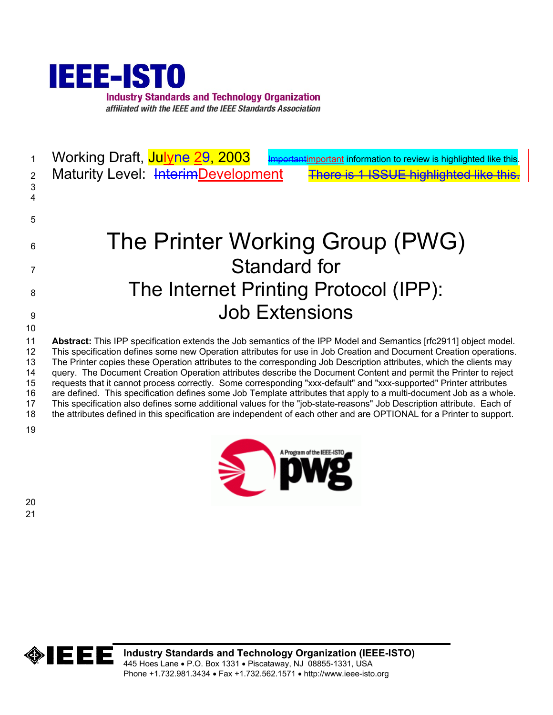

| $\overline{2}$<br>$\sqrt{3}$<br>4            | Working Draft, Julyne 29, 2003<br>important information to review is highlighted like this.<br>Maturity Level: InterimDevelopment<br>There is 1 ISSUE highlighted like this.                                                                                                                                                                                                                                                                                                                                                                                                                                                                                                                                                                                                                                                                                                                                                                                                       |
|----------------------------------------------|------------------------------------------------------------------------------------------------------------------------------------------------------------------------------------------------------------------------------------------------------------------------------------------------------------------------------------------------------------------------------------------------------------------------------------------------------------------------------------------------------------------------------------------------------------------------------------------------------------------------------------------------------------------------------------------------------------------------------------------------------------------------------------------------------------------------------------------------------------------------------------------------------------------------------------------------------------------------------------|
| 5                                            |                                                                                                                                                                                                                                                                                                                                                                                                                                                                                                                                                                                                                                                                                                                                                                                                                                                                                                                                                                                    |
| 6                                            | The Printer Working Group (PWG)                                                                                                                                                                                                                                                                                                                                                                                                                                                                                                                                                                                                                                                                                                                                                                                                                                                                                                                                                    |
| 7                                            | <b>Standard for</b>                                                                                                                                                                                                                                                                                                                                                                                                                                                                                                                                                                                                                                                                                                                                                                                                                                                                                                                                                                |
| 8                                            | The Internet Printing Protocol (IPP):                                                                                                                                                                                                                                                                                                                                                                                                                                                                                                                                                                                                                                                                                                                                                                                                                                                                                                                                              |
| 9                                            | <b>Job Extensions</b>                                                                                                                                                                                                                                                                                                                                                                                                                                                                                                                                                                                                                                                                                                                                                                                                                                                                                                                                                              |
| 10                                           |                                                                                                                                                                                                                                                                                                                                                                                                                                                                                                                                                                                                                                                                                                                                                                                                                                                                                                                                                                                    |
| 11<br>12<br>13<br>14<br>15<br>16<br>17<br>18 | Abstract: This IPP specification extends the Job semantics of the IPP Model and Semantics [rfc2911] object model.<br>This specification defines some new Operation attributes for use in Job Creation and Document Creation operations.<br>The Printer copies these Operation attributes to the corresponding Job Description attributes, which the clients may<br>query. The Document Creation Operation attributes describe the Document Content and permit the Printer to reject<br>requests that it cannot process correctly. Some corresponding "xxx-default" and "xxx-supported" Printer attributes<br>are defined. This specification defines some Job Template attributes that apply to a multi-document Job as a whole.<br>This specification also defines some additional values for the "job-state-reasons" Job Description attribute. Each of<br>the attributes defined in this specification are independent of each other and are OPTIONAL for a Printer to support. |
| 19                                           |                                                                                                                                                                                                                                                                                                                                                                                                                                                                                                                                                                                                                                                                                                                                                                                                                                                                                                                                                                                    |

A Program of the IEEE-ISTO

 $\bullet$ 



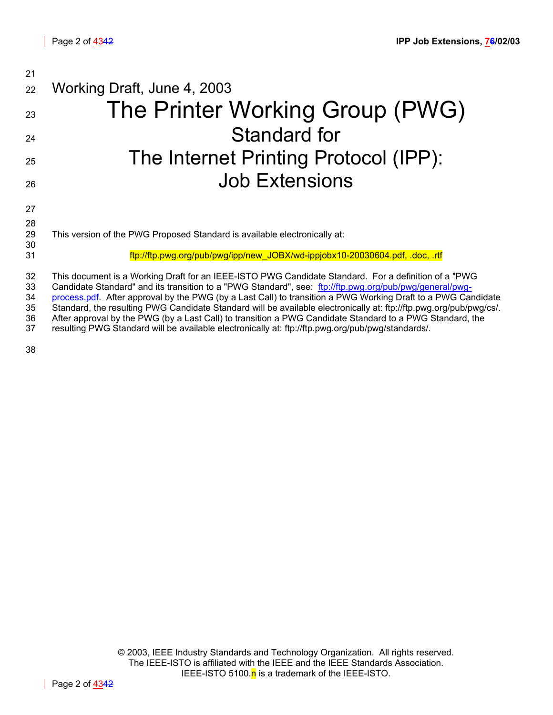| 21                         |                                                                                                                                                                                                                                                                                                                                                                                                                                                                                                                                                                   |
|----------------------------|-------------------------------------------------------------------------------------------------------------------------------------------------------------------------------------------------------------------------------------------------------------------------------------------------------------------------------------------------------------------------------------------------------------------------------------------------------------------------------------------------------------------------------------------------------------------|
| 22                         | Working Draft, June 4, 2003                                                                                                                                                                                                                                                                                                                                                                                                                                                                                                                                       |
| 23                         | The Printer Working Group (PWG)                                                                                                                                                                                                                                                                                                                                                                                                                                                                                                                                   |
| 24                         | Standard for                                                                                                                                                                                                                                                                                                                                                                                                                                                                                                                                                      |
| 25                         | The Internet Printing Protocol (IPP):                                                                                                                                                                                                                                                                                                                                                                                                                                                                                                                             |
| 26                         | <b>Job Extensions</b>                                                                                                                                                                                                                                                                                                                                                                                                                                                                                                                                             |
| 27<br>28                   |                                                                                                                                                                                                                                                                                                                                                                                                                                                                                                                                                                   |
| 29<br>30                   | This version of the PWG Proposed Standard is available electronically at:                                                                                                                                                                                                                                                                                                                                                                                                                                                                                         |
| 31                         | ftp://ftp.pwg.org/pub/pwg/ipp/new_JOBX/wd-ippjobx10-20030604.pdf, .doc, .rtf                                                                                                                                                                                                                                                                                                                                                                                                                                                                                      |
| 32<br>33<br>34<br>35<br>36 | This document is a Working Draft for an IEEE-ISTO PWG Candidate Standard. For a definition of a "PWG<br>Candidate Standard" and its transition to a "PWG Standard", see: ftp://ftp.pwg.org/pub/pwg/general/pwg-<br>process.pdf. After approval by the PWG (by a Last Call) to transition a PWG Working Draft to a PWG Candidate<br>Standard, the resulting PWG Candidate Standard will be available electronically at: ftp://ftp.pwg.org/pub/pwg/cs/.<br>After approval by the PWG (by a Last Call) to transition a PWG Candidate Standard to a PWG Standard, the |

37 resulting PWG Standard will be available electronically at: ftp://ftp.pwg.org/pub/pwg/standards/.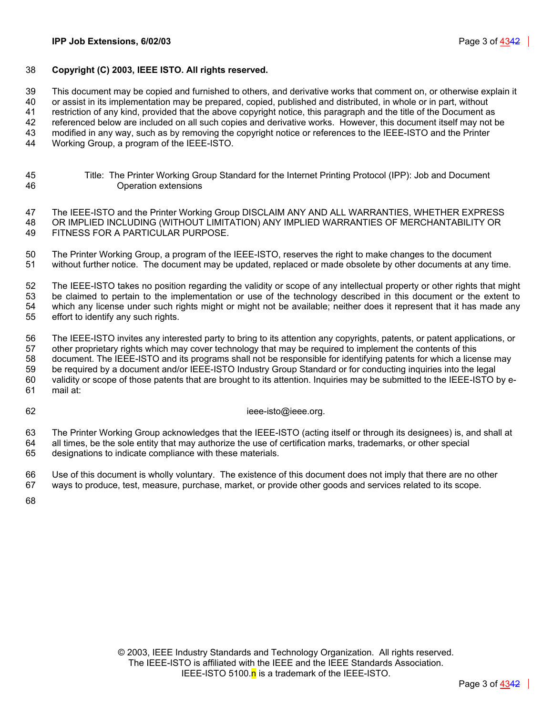### 38 **Copyright (C) 2003, IEEE ISTO. All rights reserved.**

39 This document may be copied and furnished to others, and derivative works that comment on, or otherwise explain it

40 or assist in its implementation may be prepared, copied, published and distributed, in whole or in part, without

41 restriction of any kind, provided that the above copyright notice, this paragraph and the title of the Document as

42 referenced below are included on all such copies and derivative works. However, this document itself may not be

43 modified in any way, such as by removing the copyright notice or references to the IEEE-ISTO and the Printer 44 Working Group, a program of the IEEE-ISTO.

45 Title: The Printer Working Group Standard for the Internet Printing Protocol (IPP): Job and Document 46 Operation extensions

47 The IEEE-ISTO and the Printer Working Group DISCLAIM ANY AND ALL WARRANTIES, WHETHER EXPRESS 48 OR IMPLIED INCLUDING (WITHOUT LIMITATION) ANY IMPLIED WARRANTIES OF MERCHANTABILITY OR 49 FITNESS FOR A PARTICULAR PURPOSE.

50 The Printer Working Group, a program of the IEEE-ISTO, reserves the right to make changes to the document 51 without further notice. The document may be updated, replaced or made obsolete by other documents at any time.

52 The IEEE-ISTO takes no position regarding the validity or scope of any intellectual property or other rights that might 53 be claimed to pertain to the implementation or use of the technology described in this document or the extent to 54 which any license under such rights might or might not be available; neither does it represent that it has made any 55 effort to identify any such rights.

56 The IEEE-ISTO invites any interested party to bring to its attention any copyrights, patents, or patent applications, or 57 other proprietary rights which may cover technology that may be required to implement the contents of this 58 document. The IEEE-ISTO and its programs shall not be responsible for identifying patents for which a license may 59 be required by a document and/or IEEE-ISTO Industry Group Standard or for conducting inquiries into the legal 60 validity or scope of those patents that are brought to its attention. Inquiries may be submitted to the IEEE-ISTO by e-61 mail at:

62 ieee-isto@ieee.org.

63 The Printer Working Group acknowledges that the IEEE-ISTO (acting itself or through its designees) is, and shall at 64 all times, be the sole entity that may authorize the use of certification marks, trademarks, or other special 65 designations to indicate compliance with these materials.

66 Use of this document is wholly voluntary. The existence of this document does not imply that there are no other 67 ways to produce, test, measure, purchase, market, or provide other goods and services related to its scope.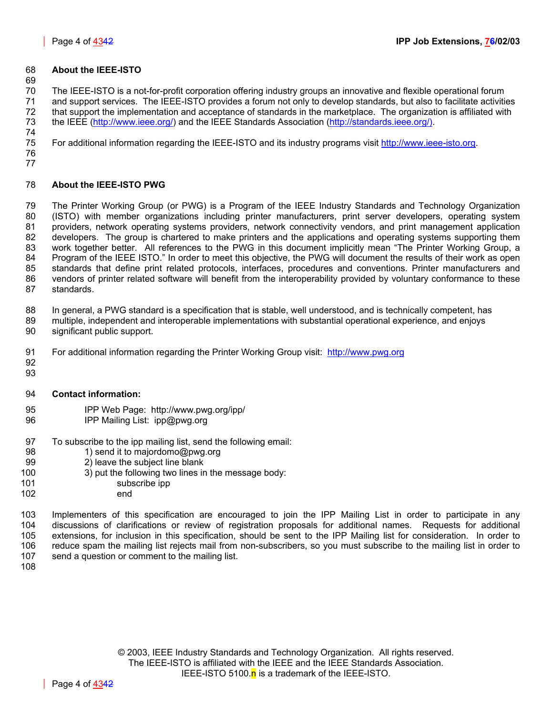### 68 **About the IEEE-ISTO**

69

70 The IEEE-ISTO is a not-for-profit corporation offering industry groups an innovative and flexible operational forum 71 and support services. The IEEE-ISTO provides a forum not only to develop standards, but also to facilitate activities 72 that support the implementation and acceptance of standards in the marketplace. The organization is affiliated with 73 the IEEE [\(http://www.ieee.org/\)](http://www.ieee.org/) and the IEEE Standards Association ([http://standards.ieee.org/\).](http://standards.ieee.org/)) 74

75 For additional information regarding the IEEE-ISTO and its industry programs visit [http://www.ieee-isto.org.](http://www.ieee-isto.org/)

76 77

### 78 **About the IEEE-ISTO PWG**

79 The Printer Working Group (or PWG) is a Program of the IEEE Industry Standards and Technology Organization 80 (ISTO) with member organizations including printer manufacturers, print server developers, operating system 81 providers, network operating systems providers, network connectivity vendors, and print management application 82 developers. The group is chartered to make printers and the applications and operating systems supporting them 83 work together better. All references to the PWG in this document implicitly mean "The Printer Working Group, a 84 Program of the IEEE ISTO." In order to meet this objective, the PWG will document the results of their work as open<br>85 standards that define print related protocols, interfaces, procedures and conventions. Printer manuf standards that define print related protocols, interfaces, procedures and conventions. Printer manufacturers and 86 vendors of printer related software will benefit from the interoperability provided by voluntary conformance to these 87 standards.

88 In general, a PWG standard is a specification that is stable, well understood, and is technically competent, has

- 89 multiple, independent and interoperable implementations with substantial operational experience, and enjoys 90 significant public support.
- 91 For additional information regarding the Printer Working Group visit: http://www.pwg.org
- 92 93
- 94 **Contact information:**
- 95 IPP Web Page: http://www.pwg.org/ipp/
- 96 IPP Mailing List: ipp@pwg.org
- 97 To subscribe to the ipp mailing list, send the following email:<br>98 1) send it to maiordomo@pwg.org
- 1) send it to majordomo@pwg.org
- 99 2) leave the subject line blank
- 100 3) put the following two lines in the message body:
- 101 subscribe ipp
- 102 end

103 Implementers of this specification are encouraged to join the IPP Mailing List in order to participate in any 104 discussions of clarifications or review of registration proposals for additional names. Requests for additional 105 extensions, for inclusion in this specification, should be sent to the IPP Mailing list for consideration. In order to 106 reduce spam the mailing list rejects mail from non-subscribers, so you must subscribe to the mailing list in order to 107 send a question or comment to the mailing list.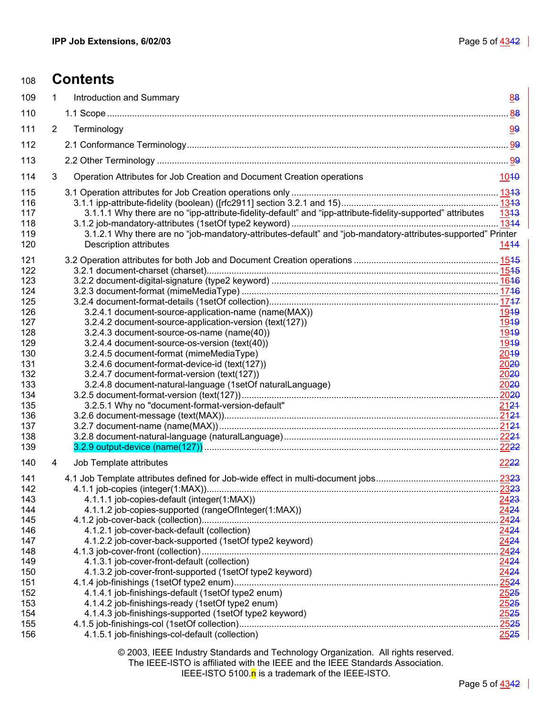| 108        |                       | <b>Contents</b>                                                                                              |                  |
|------------|-----------------------|--------------------------------------------------------------------------------------------------------------|------------------|
| 109        | 1                     | Introduction and Summary                                                                                     | 88               |
| 110        |                       |                                                                                                              |                  |
| 111        | $\mathbf{2}^{\prime}$ | Terminology                                                                                                  | 99               |
| 112        |                       |                                                                                                              |                  |
| 113        |                       |                                                                                                              |                  |
| 114        | 3                     | Operation Attributes for Job Creation and Document Creation operations                                       | 1040             |
| 115        |                       |                                                                                                              |                  |
| 116        |                       |                                                                                                              |                  |
| 117        |                       | 3.1.1.1 Why there are no "ipp-attribute-fidelity-default" and "ipp-attribute-fidelity-supported" attributes  | 1343             |
| 118        |                       |                                                                                                              | 1344             |
| 119        |                       | 3.1.2.1 Why there are no "job-mandatory-attributes-default" and "job-mandatory-attributes-supported" Printer |                  |
| 120        |                       | <b>Description attributes</b>                                                                                | 1414             |
| 121        |                       |                                                                                                              |                  |
| 122        |                       |                                                                                                              |                  |
| 123        |                       |                                                                                                              |                  |
| 124        |                       |                                                                                                              |                  |
| 125        |                       |                                                                                                              |                  |
| 126        |                       | 3.2.4.1 document-source-application-name (name(MAX))                                                         | 1949             |
| 127        |                       | 3.2.4.2 document-source-application-version (text(127))                                                      | 19 <sub>19</sub> |
| 128        |                       | 3.2.4.3 document-source-os-name (name(40))                                                                   | 1949             |
| 129        |                       | 3.2.4.4 document-source-os-version (text(40))                                                                | 1949             |
| 130        |                       | 3.2.4.5 document-format (mimeMediaType)                                                                      | 2049             |
| 131        |                       | 3.2.4.6 document-format-device-id (text(127))                                                                | 20 <del>20</del> |
| 132        |                       | 3.2.4.7 document-format-version (text(127))<br>3.2.4.8 document-natural-language (1setOf naturalLanguage)    | 2020             |
| 133<br>134 |                       |                                                                                                              | 2020             |
| 135        |                       | 3.2.5.1 Why no "document-format-version-default"                                                             | 2124             |
| 136        |                       |                                                                                                              |                  |
| 137        |                       |                                                                                                              |                  |
| 138        |                       |                                                                                                              |                  |
| 139        |                       |                                                                                                              |                  |
| 140        | 4                     | Job Template attributes                                                                                      | 2222             |
| 141        |                       |                                                                                                              |                  |
| 142        |                       |                                                                                                              |                  |
| 143        |                       | 4.1.1.1 job-copies-default (integer(1:MAX))                                                                  | 2423             |
| 144        |                       | 4.1.1.2 job-copies-supported (rangeOfInteger(1:MAX))                                                         | 2424             |
| 145<br>146 |                       |                                                                                                              | 2424<br>2424     |
| 147        |                       | 4.1.2.1 job-cover-back-default (collection)<br>4.1.2.2 job-cover-back-supported (1setOf type2 keyword)       | 2424             |
| 148        |                       |                                                                                                              | 2424             |
| 149        |                       | 4.1.3.1 job-cover-front-default (collection)                                                                 | 2424             |
| 150        |                       | 4.1.3.2 job-cover-front-supported (1setOf type2 keyword)                                                     | 2424             |
| 151        |                       |                                                                                                              | 2524             |
| 152        |                       | 4.1.4.1 job-finishings-default (1setOf type2 enum)                                                           | 2525             |
| 153        |                       | 4.1.4.2 job-finishings-ready (1setOf type2 enum)                                                             | 2525             |
| 154        |                       | 4.1.4.3 job-finishings-supported (1setOf type2 keyword)                                                      | 2525             |
| 155        |                       |                                                                                                              | .2525            |
| 156        |                       | 4.1.5.1 job-finishings-col-default (collection)                                                              | 2525             |

© 2003, IEEE Industry Standards and Technology Organization. All rights reserved.

The IEEE-ISTO is affiliated with the IEEE and the IEEE Standards Association.

IEEE-ISTO 5100. $n$  is a trademark of the IEEE-ISTO.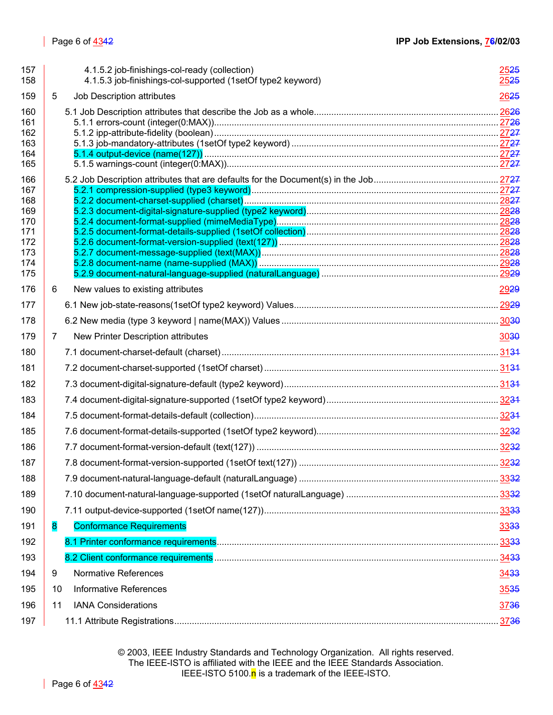| 157<br>158                                                         |    | 4.1.5.2 job-finishings-col-ready (collection)<br>4.1.5.3 job-finishings-col-supported (1setOf type2 keyword) | 25 <del>25</del><br><u> 2525 </u> |
|--------------------------------------------------------------------|----|--------------------------------------------------------------------------------------------------------------|-----------------------------------|
| 159                                                                | 5  | Job Description attributes                                                                                   | 2625                              |
| 160<br>161<br>162<br>163<br>164<br>165                             |    |                                                                                                              |                                   |
| 166<br>167<br>168<br>169<br>170<br>171<br>172<br>173<br>174<br>175 |    |                                                                                                              |                                   |
| 176                                                                | 6  | New values to existing attributes                                                                            | 2929                              |
| 177                                                                |    |                                                                                                              |                                   |
| 178                                                                |    |                                                                                                              |                                   |
| 179                                                                | 7  | New Printer Description attributes                                                                           | 30 <sup>30</sup>                  |
| 180                                                                |    |                                                                                                              |                                   |
| 181                                                                |    |                                                                                                              |                                   |
| 182                                                                |    |                                                                                                              |                                   |
| 183                                                                |    |                                                                                                              |                                   |
| 184                                                                |    |                                                                                                              |                                   |
| 185                                                                |    |                                                                                                              |                                   |
| 186                                                                |    |                                                                                                              |                                   |
| 187                                                                |    |                                                                                                              |                                   |
| 188                                                                |    |                                                                                                              |                                   |
| 189                                                                |    |                                                                                                              |                                   |
| 190                                                                |    |                                                                                                              |                                   |
| 191                                                                | 8  | <b>Conformance Requirements</b>                                                                              | 3333                              |
| 192                                                                |    |                                                                                                              |                                   |
| 193                                                                |    |                                                                                                              |                                   |
| 194                                                                | 9  | <b>Normative References</b>                                                                                  | 3433                              |
| 195                                                                | 10 | <b>Informative References</b>                                                                                | 3535                              |
| 196                                                                | 11 | <b>IANA Considerations</b>                                                                                   | 3736                              |
| 197                                                                |    |                                                                                                              | 3736                              |

© 2003, IEEE Industry Standards and Technology Organization. All rights reserved. The IEEE-ISTO is affiliated with the IEEE and the IEEE Standards Association. IEEE-ISTO 5100.n is a trademark of the IEEE-ISTO.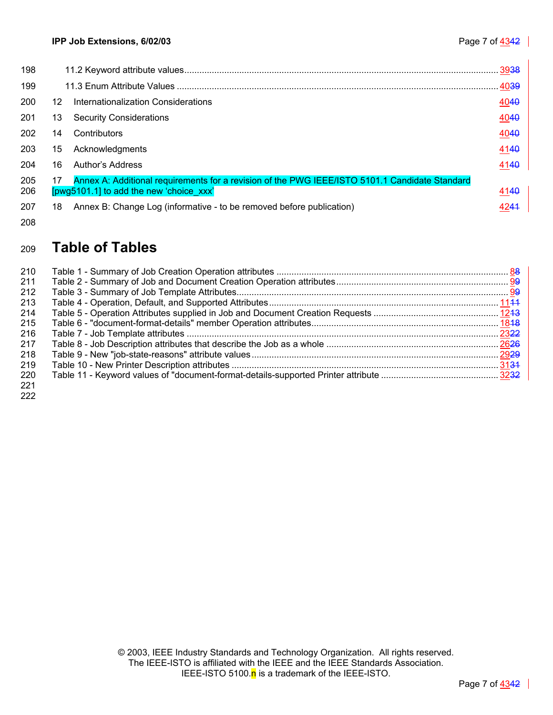| 198        |    |                                                                                                                                           | 3938 |
|------------|----|-------------------------------------------------------------------------------------------------------------------------------------------|------|
| 199        |    |                                                                                                                                           |      |
| 200        | 12 | Internationalization Considerations                                                                                                       | 4040 |
| 201        | 13 | <b>Security Considerations</b>                                                                                                            | 4040 |
| 202        | 14 | Contributors                                                                                                                              | 4040 |
| 203        | 15 | Acknowledgments                                                                                                                           | 4140 |
| 204        | 16 | Author's Address                                                                                                                          | 4140 |
| 205<br>206 | 17 | Annex A: Additional requirements for a revision of the PWG IEEE/ISTO 5101.1 Candidate Standard<br>[pwg5101.1] to add the new 'choice xxx' | 4140 |
| 207        | 18 | Annex B: Change Log (informative - to be removed before publication)                                                                      | 4244 |

### 208

# <sup>209</sup>**Table of Tables**

| 210 |  |
|-----|--|
| 211 |  |
| 212 |  |
| 213 |  |
| 214 |  |
| 215 |  |
| 216 |  |
| 217 |  |
| 218 |  |
| 219 |  |
| 220 |  |
| 221 |  |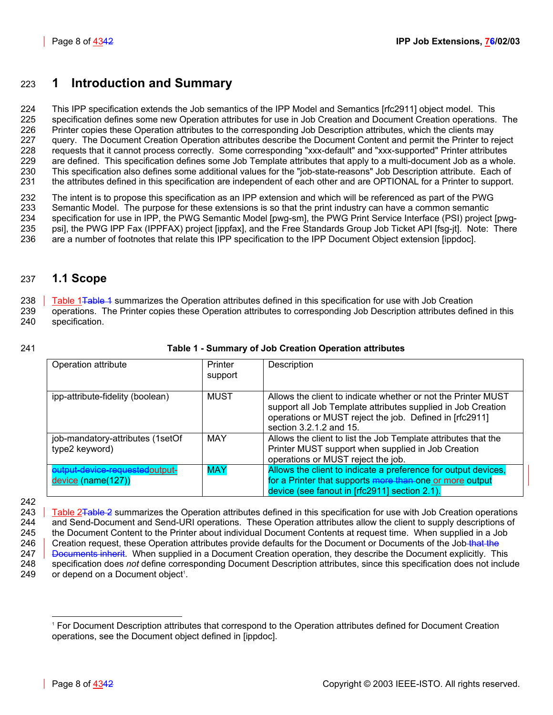# <span id="page-7-0"></span>223 **1 Introduction and Summary**

224 This IPP specification extends the Job semantics of the IPP Model and Semantics [rfc2911] object model. This 225 specification defines some new Operation attributes for use in Job Creation and Document Creation operations. The 226 Printer copies these Operation attributes to the corresponding Job Description attributes, which the clients may 227 guery. The Document Creation Operation attributes describe the Document Content and permit the Printer to reject 228 requests that it cannot process correctly. Some corresponding "xxx-default" and "xxx-supported" Printer attributes 229 are defined. This specification defines some Job Template attributes that apply to a multi-document Job as a whole. 230 This specification also defines some additional values for the "job-state-reasons" Job Description attribute. Each of 231 the attributes defined in this specification are independent of each other and are OPTIONAL for a Printer to support.

232 The intent is to propose this specification as an IPP extension and which will be referenced as part of the PWG 233 Semantic Model. The purpose for these extensions is so that the print industry can have a common semantic<br>234 Specification for use in IPP, the PWG Semantic Model [pwg-sm], the PWG Print Service Interface (PSI) projec specification for use in IPP, the PWG Semantic Model [pwg-sm], the PWG Print Service Interface (PSI) project [pwg-235 psi], the PWG IPP Fax (IPPFAX) project [ippfax], and the Free Standards Group Job Ticket API [fsg-jt]. Note: There 236 are a number of footnotes that relate this IPP specification to the IPP Document Object extension [ippdoc].

# <span id="page-7-1"></span>237 **1.1 Scope**

238 Table 1<del>Table 1</del> summarizes the Operation attributes defined in this specification for use with Job Creation 239 operations. The Printer copies these Operation attributes to corresponding Job Description attributes defined in this 240 specification.

### 241 **Table 1 - Summary of Job Creation Operation attributes**

<span id="page-7-2"></span>

| Operation attribute                                    | Printer<br>support | Description                                                                                                                                                                                                         |
|--------------------------------------------------------|--------------------|---------------------------------------------------------------------------------------------------------------------------------------------------------------------------------------------------------------------|
| ipp-attribute-fidelity (boolean)                       | <b>MUST</b>        | Allows the client to indicate whether or not the Printer MUST<br>support all Job Template attributes supplied in Job Creation<br>operations or MUST reject the job. Defined in [rfc2911]<br>section 3.2.1.2 and 15. |
| job-mandatory-attributes (1setOf<br>type2 keyword)     | <b>MAY</b>         | Allows the client to list the Job Template attributes that the<br>Printer MUST support when supplied in Job Creation<br>operations or MUST reject the job.                                                          |
| output-device-requestedoutput-<br>$device (name(127))$ | <b>MAY</b>         | Allows the client to indicate a preference for output devices,<br>for a Printer that supports more than one or more output<br>device (see fanout in [rfc2911] section 2.1).                                         |

242

243 Table 2<del>Table 2</del> summarizes the Operation attributes defined in this specification for use with Job Creation operations 244 and Send-Document and Send-URI operations. These Operation attributes allow the client to supply descriptions of 245 the Document Content to the Printer about individual Document Contents at request time. When supplied in a Job 246 Creation request, these Operation attributes provide defaults for the Document or Documents of the Job-that the 247 **Documents inherit.** When supplied in a Document Creation operation, they describe the Document explicitly. This 248 specification does *not* define corresponding Document Description attributes, since this specification does not include  $249$  or depend on a Document object<sup>1</sup>[.](#page-7-3)

<span id="page-7-3"></span> $\overline{a}$ 1 For Document Description attributes that correspond to the Operation attributes defined for Document Creation operations, see the Document object defined in [ippdoc].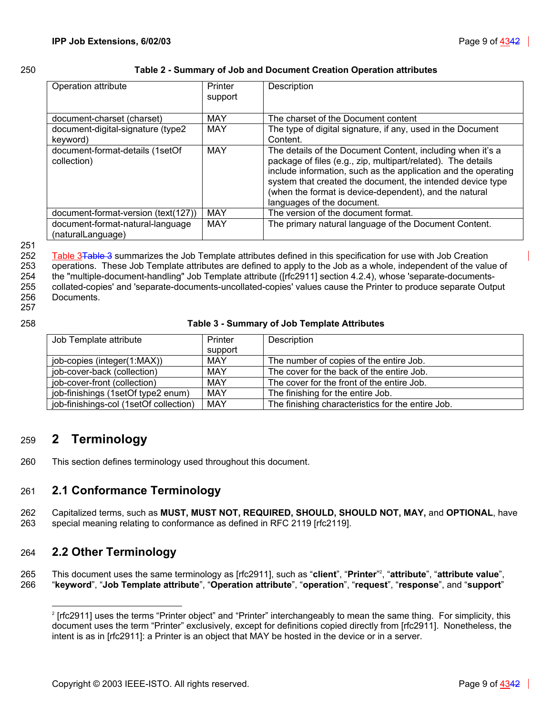| ×<br>۰. | ×<br>۰. |
|---------|---------|

### <span id="page-8-3"></span>250 **Table 2 - Summary of Job and Document Creation Operation attributes**

| Operation attribute                                   | Printer<br>support | Description                                                                                                                                                                                                                                                                                                                                        |
|-------------------------------------------------------|--------------------|----------------------------------------------------------------------------------------------------------------------------------------------------------------------------------------------------------------------------------------------------------------------------------------------------------------------------------------------------|
| document-charset (charset)                            | MAY                | The charset of the Document content                                                                                                                                                                                                                                                                                                                |
| document-digital-signature (type2<br>keyword)         | <b>MAY</b>         | The type of digital signature, if any, used in the Document<br>Content.                                                                                                                                                                                                                                                                            |
| document-format-details (1setOf<br>collection)        | <b>MAY</b>         | The details of the Document Content, including when it's a<br>package of files (e.g., zip, multipart/related). The details<br>include information, such as the application and the operating<br>system that created the document, the intended device type<br>(when the format is device-dependent), and the natural<br>languages of the document. |
| document-format-version (text(127))                   | <b>MAY</b>         | The version of the document format.                                                                                                                                                                                                                                                                                                                |
| document-format-natural-language<br>(naturalLanguage) | <b>MAY</b>         | The primary natural language of the Document Content.                                                                                                                                                                                                                                                                                              |

### 251

252 [Table 3Table 3](#page-8-4) summarizes the Job Template attributes defined in this specification for use with Job Creation 253 operations. These Job Template attributes are defined to apply to the Job as a whole, independent of the value of 254 the "multiple-document-handling" Job Template attribute ([rfc2911] section 4.2.4), whose 'separate-documents-255 collated-copies' and 'separate-documents-uncollated-copies' values cause the Printer to produce separate Output 256 Documents. 257

### 258 **Table 3 - Summary of Job Template Attributes**

<span id="page-8-4"></span>

| Job Template attribute                 | Printer | Description                                       |
|----------------------------------------|---------|---------------------------------------------------|
|                                        | support |                                                   |
| job-copies (integer(1:MAX))            | MAY     | The number of copies of the entire Job.           |
| job-cover-back (collection)            | MAY     | The cover for the back of the entire Job.         |
| job-cover-front (collection)           | MAY     | The cover for the front of the entire Job.        |
| job-finishings (1setOf type2 enum)     | MAY     | The finishing for the entire Job.                 |
| job-finishings-col (1setOf collection) | MAY     | The finishing characteristics for the entire Job. |

# <span id="page-8-0"></span>259 **2 Terminology**

260 This section defines terminology used throughout this document.

# <span id="page-8-1"></span>261 **2.1 Conformance Terminology**

262 Capitalized terms, such as **MUST, MUST NOT, REQUIRED, SHOULD, SHOULD NOT, MAY,** and **OPTIONAL**, have 263 special meaning relating to conformance as defined in RFC 2119 [rfc2119].

# <span id="page-8-2"></span>264 **2.2 Other Terminology**

This document uses the same terminology as [rfc2911], such as "**client**", "**Printer**" <sup>2</sup> 265 [,](#page-8-5) "**attribute**", "**attribute value**", 266 "**keyword**", "**Job Template attribute**", "**Operation attribute**", "**operation**", "**request**", "**response**", and "**support**"

<span id="page-8-5"></span>l 2 [rfc2911] uses the terms "Printer object" and "Printer" interchangeably to mean the same thing. For simplicity, this document uses the term "Printer" exclusively, except for definitions copied directly from [rfc2911]. Nonetheless, the intent is as in [rfc2911]: a Printer is an object that MAY be hosted in the device or in a server.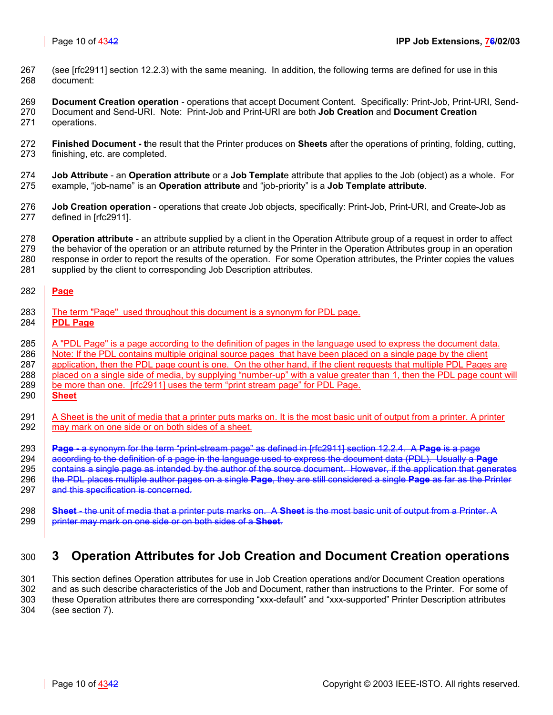267 (see [rfc2911] section 12.2.3) with the same meaning. In addition, the following terms are defined for use in this 268 document:

269 **Document Creation operation** - operations that accept Document Content. Specifically: Print-Job, Print-URI, Send-270 Document and Send-URI. Note: Print-Job and Print-URI are both **Job Creation** and **Document Creation** 271 operations.

- 272 **Finished Document t**he result that the Printer produces on **Sheets** after the operations of printing, folding, cutting, 273 finishing, etc. are completed.
- 274 **Job Attribute** an **Operation attribute** or a **Job Templat**e attribute that applies to the Job (object) as a whole. For 275 example, "job-name" is an **Operation attribute** and "job-priority" is a **Job Template attribute**.
- 276 **Job Creation operation** operations that create Job objects, specifically: Print-Job, Print-URI, and Create-Job as 277 defined in [rfc2911].
- 278 **Operation attribute** an attribute supplied by a client in the Operation Attribute group of a request in order to affect 279 the behavior of the operation or an attribute returned by the Printer in the Operation Attributes group in an operation 280 response in order to report the results of the operation. For some Operation attributes, the Printer copies the values 281 supplied by the client to corresponding Job Description attributes.

### 282 **Page**

- 283 The term "Page" used throughout this document is a synonym for PDL page.
- 284 **PDL Page**

285 A "PDL Page" is a page according to the definition of pages in the language used to express the document data.

286 Note: If the PDL contains multiple original source pages that have been placed on a single page by the client

287 | application, then the PDL page count is one. On the other hand, if the client requests that multiple PDL Pages are

- 288 placed on a single side of media, by supplying "number-up" with a value greater than 1, then the PDL page count will
- 289 be more than one. [rfc2911] uses the term "print stream page" for PDL Page.
- 290 **Sheet**
- 291  $\parallel$  A Sheet is the unit of media that a printer puts marks on. It is the most basic unit of output from a printer. A printer 292 may mark on one side or on both sides of a sheet.
- 293 **Page -** a synonym for the term "print-stream page" as defined in [rfc2911] section 12.2.4. A **Page** is a page
- 294 according to the definition of a page in the language used to express the document data (PDL). Usually a **Page** 295 **contains a single page as intended by the author of the source document. However, if the application that generates** 296 the PDL places multiple author pages on a single **Page**, they are still considered a single **Page** as far as the Printer 297 and this specification is concerned.
- 298 **Sheet** the unit of media that a printer puts marks on. A **Sheet** is the most basic unit of output from a Printer. A 299 printer may mark on one side or on both sides of a **Sheet**.

# <span id="page-9-0"></span>300 **3 Operation Attributes for Job Creation and Document Creation operations**

301 This section defines Operation attributes for use in Job Creation operations and/or Document Creation operations 302 and as such describe characteristics of the Job and Document, rather than instructions to the Printer. For some of 303 these Operation attributes there are corresponding "xxx-default" and "xxx-supported" Printer Description attributes 304 (see section [7\)](#page-29-1).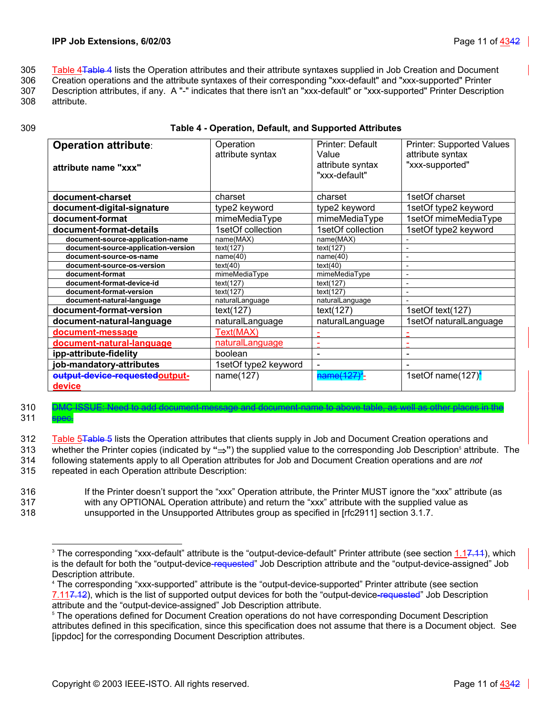305 [Table 4Table 4](#page-10-0) lists the Operation attributes and their attribute syntaxes supplied in Job Creation and Document

306 Creation operations and the attribute syntaxes of their corresponding "xxx-default" and "xxx-supported" Printer

- 307 Description attributes, if any. A "-" indicates that there isn't an "xxx-default" or "xxx-supported" Printer Description 308 attribute.
- 

### 309 **Table 4 - Operation, Default, and Supported Attributes**

<span id="page-10-0"></span>

| <b>Operation attribute:</b><br>attribute name "xxx" | Operation<br>attribute syntax | Printer: Default<br>Value<br>attribute syntax<br>"xxx-default" | <b>Printer: Supported Values</b><br>attribute syntax<br>"xxx-supported" |
|-----------------------------------------------------|-------------------------------|----------------------------------------------------------------|-------------------------------------------------------------------------|
| document-charset                                    | charset                       | charset                                                        | 1setOf charset                                                          |
| document-digital-signature                          | type2 keyword                 | type2 keyword                                                  | 1setOf type2 keyword                                                    |
| document-format                                     | mimeMediaType                 | mimeMediaType                                                  | 1setOf mimeMediaType                                                    |
| document-format-details                             | 1setOf collection             | 1setOf collection                                              | 1setOf type2 keyword                                                    |
| document-source-application-name                    | name(MAX)                     | name(MAX)                                                      |                                                                         |
| document-source-application-version                 | text(127)                     | text(127)                                                      |                                                                         |
| document-source-os-name                             | name(40)                      | name(40)                                                       |                                                                         |
| document-source-os-version                          | text(40)                      | text(40)                                                       | $\overline{\phantom{a}}$                                                |
| document-format                                     | mimeMediaType                 | mimeMediaType                                                  | $\overline{\phantom{0}}$                                                |
| document-format-device-id                           | text(127)                     | text(127)                                                      |                                                                         |
| document-format-version                             | text(127)                     | text(127)                                                      |                                                                         |
| document-natural-language                           | naturalLanguage               | naturalLanguage                                                |                                                                         |
| document-format-version                             | text(127)                     | text(127)                                                      | 1setOf text(127)                                                        |
| document-natural-language                           | naturalLanguage               | naturalLanguage                                                | 1setOf naturalLanguage                                                  |
| document-message                                    | Text(MAX)                     |                                                                |                                                                         |
| document-natural-language                           | naturalLanguage               |                                                                |                                                                         |
| ipp-attribute-fidelity                              | boolean                       |                                                                |                                                                         |
| job-mandatory-attributes                            | 1setOf type2 keyword          |                                                                |                                                                         |
| output-device-requestedoutput-<br>device            | name(127)                     | <del>name(127)</del> *-                                        | 1setOf name $(127)^4$                                                   |

### 310 DMC ISSUE: Need to add document-message and document-name to above table, as well as other places in the 311 **spec.**

312 [Table 5Table 5](#page-11-0) lists the Operation attributes that clients supply in Job and Document Creation operations and whether the Printer copies (indicated by **"**⇒**"**) the supplied value to the corresponding Job Description5 313 attribute. The 314 following statements apply to all Operation attributes for Job and Document Creation operations and are *not* 315 repeated in each Operation attribute Description:

316 If the Printer doesn't support the "xxx" Operation attribute, the Printer MUST ignore the "xxx" attribute (as 317 with any OPTIONAL Operation attribute) and return the "xxx" attribute with the supplied value as 318 unsupported in the Unsupported Attributes group as specified in [rfc2911] section 3.1.7.

<span id="page-10-1"></span>l <sup>3</sup> The corresponding "xxx-default" attribute is the "output-device-default" Printer attribute (see section <u>1.17.11),</u> which is the default for both the "output-device-requested" Job Description attribute and the "output-device-assigned" Job Description attribute.

<span id="page-10-2"></span><sup>4</sup> The corresponding "xxx-supported" attribute is the "output-device-supported" Printer attribute (see section 7.117.12), which is the list of supported output devices for both the "output-device-requested" Job Description attribute and the "output-device-assigned" Job Description attribute. 5

<span id="page-10-3"></span><sup>&</sup>lt;sup>5</sup> The operations defined for Document Creation operations do not have corresponding Document Description attributes defined in this specification, since this specification does not assume that there is a Document object. See [ippdoc] for the corresponding Document Description attributes.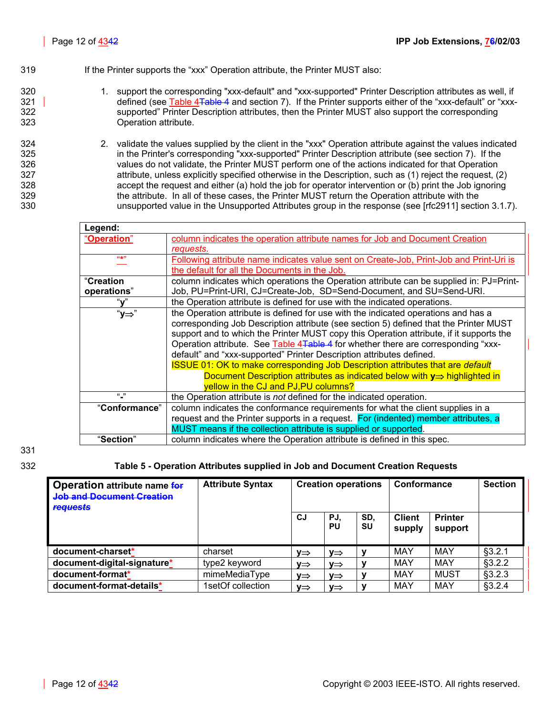### 319 **If the Printer supports the "xxx" Operation attribute, the Printer MUST also:**

- 320 1. support the corresponding "xxx-default" and "xxx-supported" Printer Description attributes as well, if 321 defined (see [Table 4Table 4](#page-10-0) and section [7\)](#page-29-1). If the Printer supports either of the "xxx-default" or "xxx-322 supported" Printer Description attributes, then the Printer MUST also support the corresponding 323 Operation attribute.
- 324 2. validate the values supplied by the client in the "xxx" Operation attribute against the values indicated 325 in the Printer's corresponding "xxx-supported" Printer Description attribute (see section [7\)](#page-29-1). If the 326 values do not validate, the Printer MUST perform one of the actions indicated for that Operation 327 attribute, unless explicitly specified otherwise in the Description, such as (1) reject the request, (2) 328 accept the request and either (a) hold the job for operator intervention or (b) print the Job ignoring 329 the attribute. In all of these cases, the Printer MUST return the Operation attribute with the 330 unsupported value in the Unsupported Attributes group in the response (see [rfc2911] section 3.1.7).

| Legend:                                                                                 |                                                                                         |  |  |
|-----------------------------------------------------------------------------------------|-----------------------------------------------------------------------------------------|--|--|
| <u>"Operation"</u>                                                                      | column indicates the operation attribute names for Job and Document Creation            |  |  |
|                                                                                         | requests.                                                                               |  |  |
| 66-5611                                                                                 | Following attribute name indicates value sent on Create-Job, Print-Job and Print-Uri is |  |  |
|                                                                                         | the default for all the Documents in the Job.                                           |  |  |
| "Creation                                                                               | column indicates which operations the Operation attribute can be supplied in: PJ=Print- |  |  |
| operations"                                                                             | Job, PU=Print-URI, CJ=Create-Job, SD=Send-Document, and SU=Send-URI.                    |  |  |
| "v"                                                                                     | the Operation attribute is defined for use with the indicated operations.               |  |  |
| "y⇒"                                                                                    | the Operation attribute is defined for use with the indicated operations and has a      |  |  |
| corresponding Job Description attribute (see section 5) defined that the Printer MUST   |                                                                                         |  |  |
| support and to which the Printer MUST copy this Operation attribute, if it supports the |                                                                                         |  |  |
|                                                                                         | Operation attribute. See Table 4Table 4 for whether there are corresponding "xxx-       |  |  |
|                                                                                         | default" and "xxx-supported" Printer Description attributes defined.                    |  |  |
|                                                                                         | <b>ISSUE 01: OK to make corresponding Job Description attributes that are default</b>   |  |  |
|                                                                                         | Document Description attributes as indicated below with $y \Rightarrow$ highlighted in  |  |  |
|                                                                                         | yellow in the CJ and PJ, PU columns?                                                    |  |  |
| $\frac{1}{2}$                                                                           | the Operation attribute is not defined for the indicated operation.                     |  |  |
| "Conformance"                                                                           | column indicates the conformance requirements for what the client supplies in a         |  |  |
|                                                                                         | request and the Printer supports in a request. For (indented) member attributes, a      |  |  |
|                                                                                         | MUST means if the collection attribute is supplied or supported.                        |  |  |
| "Section"                                                                               | column indicates where the Operation attribute is defined in this spec.                 |  |  |

# 331

### 332 **Table 5 - Operation Attributes supplied in Job and Document Creation Requests**

<span id="page-11-0"></span>

| <b>Operation attribute name for</b><br><b>Job and Document Creation</b><br><b>requests</b> | <b>Attribute Syntax</b> | <b>Creation operations</b> |                 | Conformance |                         | <b>Section</b>            |         |
|--------------------------------------------------------------------------------------------|-------------------------|----------------------------|-----------------|-------------|-------------------------|---------------------------|---------|
|                                                                                            |                         | CJ.                        | PJ.<br>PU       | SD.<br>SU   | <b>Client</b><br>supply | <b>Printer</b><br>support |         |
| document-charset*                                                                          | charset                 | ∨⇒                         | ∨⇒              | v           | MAY                     | MAY                       | §3.2.1  |
| document-digital-signature*                                                                | type2 keyword           | ∨⇒                         | $V \Rightarrow$ |             | MAY                     | MAY                       | \$3.2.2 |
| document-format*                                                                           | mimeMediaType           | V⇒                         | V⇒              |             | MAY                     | <b>MUST</b>               | §3.2.3  |
| document-format-details*                                                                   | 1setOf collection       | V⇒                         | ∨⇒              |             | MAY                     | MAY                       | §3.2.4  |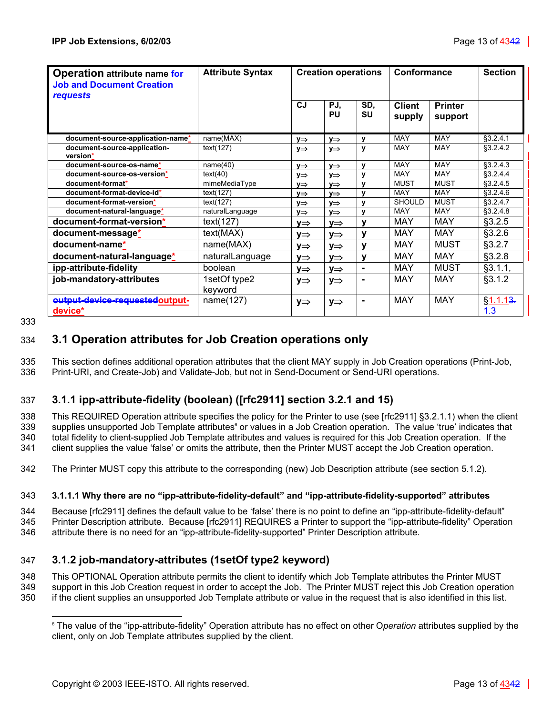| Operation attribute name for<br><b>Job and Document Creation</b><br><b>requests</b> | <b>Attribute Syntax</b> | <b>Creation operations</b> |                  | Conformance      |                         | <b>Section</b>            |                       |
|-------------------------------------------------------------------------------------|-------------------------|----------------------------|------------------|------------------|-------------------------|---------------------------|-----------------------|
|                                                                                     |                         | <b>CJ</b>                  | PJ,<br><b>PU</b> | SD,<br><b>SU</b> | <b>Client</b><br>supply | <b>Printer</b><br>support |                       |
| document-source-application-name*                                                   | name(MAX)               | V⇒                         | y⇒               | у                | <b>MAY</b>              | <b>MAY</b>                | §3.2.4.1              |
| document-source-application-<br>version*                                            | text(127)               | $y \Rightarrow$            | $y \Rightarrow$  | y                | MAY                     | <b>MAY</b>                | \$3.2.4.2             |
| document-source-os-name*                                                            | name(40)                | $V \Rightarrow$            | $V \Rightarrow$  | v                | MAY                     | MAY                       | \$3.2.4.3             |
| document-source-os-version*                                                         | text(40)                | $V \Rightarrow$            | $V \Rightarrow$  | V                | <b>MAY</b>              | <b>MAY</b>                | \$3.2.4.4             |
| document-format*                                                                    | mimeMediaType           | $v \Rightarrow$            | $V \Rightarrow$  | $\mathbf{v}$     | MUST                    | <b>MUST</b>               | \$3.2.4.5             |
| document-format-device-id*                                                          | text(127)               | $V \Rightarrow$            | V⇒               | v                | <b>MAY</b>              | MAY                       | §3.2.4.6              |
| document-format-version*                                                            | text(127)               | y⇒                         | y⇒               | $\mathbf{v}$     | <b>SHOULD</b>           | <b>MUST</b>               | \$3.2.4.7             |
| document-natural-language*                                                          | naturalLanguage         | V⇒                         | y⇒               | y                | <b>MAY</b>              | <b>MAY</b>                | $$3.2.4.\overline{8}$ |
| document-format-version*                                                            | text(127)               | ∨⇒                         | ∨⇒               | y                | <b>MAY</b>              | MAY                       | §3.2.5                |
| document-message*                                                                   | text(MAX)               | ∨⇒                         | V⇒               | ۷                | <b>MAY</b>              | MAY                       | §3.2.6                |
| document-name*                                                                      | name(MAX)               | ∨⇒                         | V⇒               | y                | <b>MAY</b>              | <b>MUST</b>               | §3.2.7                |
| document-natural-language*                                                          | naturalLanguage         | y⇒                         | V⇒               | y                | <b>MAY</b>              | <b>MAY</b>                | §3.2.8                |
| ipp-attribute-fidelity                                                              | boolean                 | y⇒                         | V⇒               | $\blacksquare$   | <b>MAY</b>              | <b>MUST</b>               | §3.1.1,               |
| job-mandatory-attributes                                                            | 1setOf type2<br>keyword | V⇒                         | y⇒               | ۰                | <b>MAY</b>              | <b>MAY</b>                | §3.1.2                |
| eutput-device-requestedoutput-<br>device*                                           | name(127)               | y⇒                         | y⇒               | ۰                | <b>MAY</b>              | <b>MAY</b>                | § 1.1.13.<br>4.3      |

333

 $\overline{a}$ 

# <span id="page-12-0"></span>334 **3.1 Operation attributes for Job Creation operations only**

335 This section defines additional operation attributes that the client MAY supply in Job Creation operations (Print-Job, 336 Print-URI, and Create-Job) and Validate-Job, but not in Send-Document or Send-URI operations.

# <span id="page-12-1"></span>337 **3.1.1 ipp-attribute-fidelity (boolean) ([rfc2911] section 3.2.1 and 15)**

338 This REQUIRED Operation attribute specifies the policy for the Printer to use (see [rfc2911] §3.2.1.1) when the client 339 supplies unsupported Job Template attributes<sup>6</sup> or values in a Job Creation operation. The value 'true' indicates that 340 total fidelity to client-supplied Job Template attributes and values is required for this Job Creation operation. If the 341 client supplies the value 'false' or omits the attribute, then the Printer MUST accept the Job Creation operation.

342 The Printer MUST copy this attribute to the corresponding (new) Job Description attribute (see section [5.1.2\)](#page-26-1).

### <span id="page-12-2"></span>343 **3.1.1.1 Why there are no "ipp-attribute-fidelity-default" and "ipp-attribute-fidelity-supported" attributes**

344 Because [rfc2911] defines the default value to be 'false' there is no point to define an "ipp-attribute-fidelity-default" 345 Printer Description attribute. Because [rfc2911] REQUIRES a Printer to support the "ipp-attribute-fidelity" Operation 346 attribute there is no need for an "ipp-attribute-fidelity-supported" Printer Description attribute.

### <span id="page-12-3"></span>347 **3.1.2 job-mandatory-attributes (1setOf type2 keyword)**

348 This OPTIONAL Operation attribute permits the client to identify which Job Template attributes the Printer MUST 349 support in this Job Creation request in order to accept the Job. The Printer MUST reject this Job Creation operation

350 if the client supplies an unsupported Job Template attribute or value in the request that is also identified in this list.

<span id="page-12-4"></span><sup>6</sup> The value of the "ipp-attribute-fidelity" Operation attribute has no effect on other O*peration* attributes supplied by the client, only on Job Template attributes supplied by the client.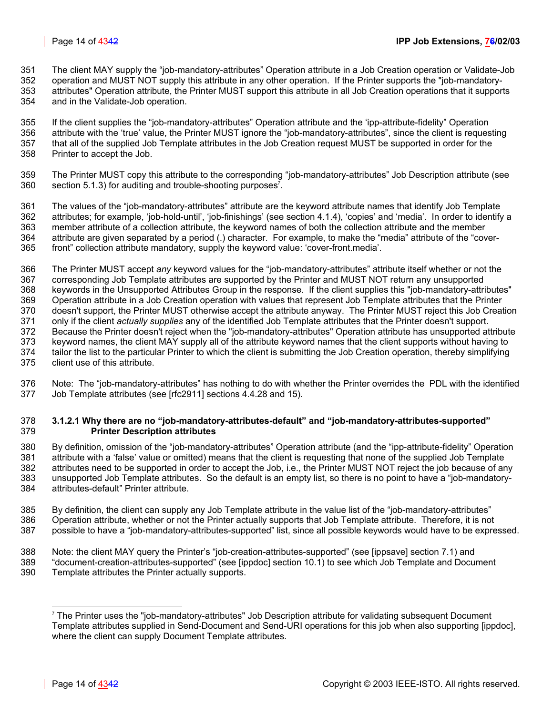- 351 The client MAY supply the "job-mandatory-attributes" Operation attribute in a Job Creation operation or Validate-Job
- 352 operation and MUST NOT supply this attribute in any other operation. If the Printer supports the "job-mandatory-353 attributes" Operation attribute, the Printer MUST support this attribute in all Job Creation operations that it supports
- 354 and in the Validate-Job operation.
- 355 If the client supplies the "job-mandatory-attributes" Operation attribute and the 'ipp-attribute-fidelity" Operation 356 attribute with the 'true' value, the Printer MUST ignore the "job-mandatory-attributes", since the client is requesting 357 that all of the supplied Job Template attributes in the Job Creation request MUST be supported in order for the 358 Printer to accept the Job.
- 359 The Printer MUST copy this attribute to the corresponding "job-mandatory-attributes" Job Description attribute (see  $360$  section [5.1.3\)](#page-26-2) for auditing and trouble-shooting purposes<sup>7</sup>[.](#page-13-1)
- 361 The values of the "job-mandatory-attributes" attribute are the keyword attribute names that identify Job Template 362 attributes; for example, 'job-hold-until', 'job-finishings' (see section [4.1.4\)](#page-24-0), 'copies' and 'media'. In order to identify a 363 member attribute of a collection attribute, the keyword names of both the collection attribute and the member 364 attribute are given separated by a period (.) character. For example, to make the "media" attribute of the "cover-365 front" collection attribute mandatory, supply the keyword value: 'cover-front.media'.
- 366 The Printer MUST accept *any* keyword values for the "job-mandatory-attributes" attribute itself whether or not the 367 corresponding Job Template attributes are supported by the Printer and MUST NOT return any unsupported 368 keywords in the Unsupported Attributes Group in the response. If the client supplies this "job-mandatory-attributes" 369 Operation attribute in a Job Creation operation with values that represent Job Template attributes that the Printer 370 doesn't support, the Printer MUST otherwise accept the attribute anyway. The Printer MUST reject this Job Creation 371 only if the client *actually supplies* any of the identified Job Template attributes that the Printer doesn't support. 372 Because the Printer doesn't reject when the "job-mandatory-attributes" Operation attribute has unsupported attribute 373 keyword names, the client MAY supply all of the attribute keyword names that the client supports without having to 374 tailor the list to the particular Printer to which the client is submitting the Job Creation operation, thereby simplifying 375 client use of this attribute.
- 376 Note: The "job-mandatory-attributes" has nothing to do with whether the Printer overrides the PDL with the identified 377 Job Template attributes (see [rfc2911] sections 4.4.28 and 15).

### <span id="page-13-0"></span>378 **3.1.2.1 Why there are no "job-mandatory-attributes-default" and "job-mandatory-attributes-supported"**  379 **Printer Description attributes**

- 380 By definition, omission of the "job-mandatory-attributes" Operation attribute (and the "ipp-attribute-fidelity" Operation 381 attribute with a 'false' value or omitted) means that the client is requesting that none of the supplied Job Template 382 attributes need to be supported in order to accept the Job, i.e., the Printer MUST NOT reject the job because of any 383 unsupported Job Template attributes. So the default is an empty list, so there is no point to have a "job-mandatory-384 attributes-default" Printer attribute.
- 385 By definition, the client can supply any Job Template attribute in the value list of the "job-mandatory-attributes" 386 Operation attribute, whether or not the Printer actually supports that Job Template attribute. Therefore, it is not 387 possible to have a "job-mandatory-attributes-supported" list, since all possible keywords would have to be expressed.
- 388 Note: the client MAY query the Printer's "job-creation-attributes-supported" (see [ippsave] section 7.1) and 389 "document-creation-attributes-supported" (see [ippdoc] section 10.1) to see which Job Template and Document
- 390 Template attributes the Printer actually supports.

l

<span id="page-13-1"></span><sup>7</sup> The Printer uses the "job-mandatory-attributes" Job Description attribute for validating subsequent Document Template attributes supplied in Send-Document and Send-URI operations for this job when also supporting [ippdoc], where the client can supply Document Template attributes.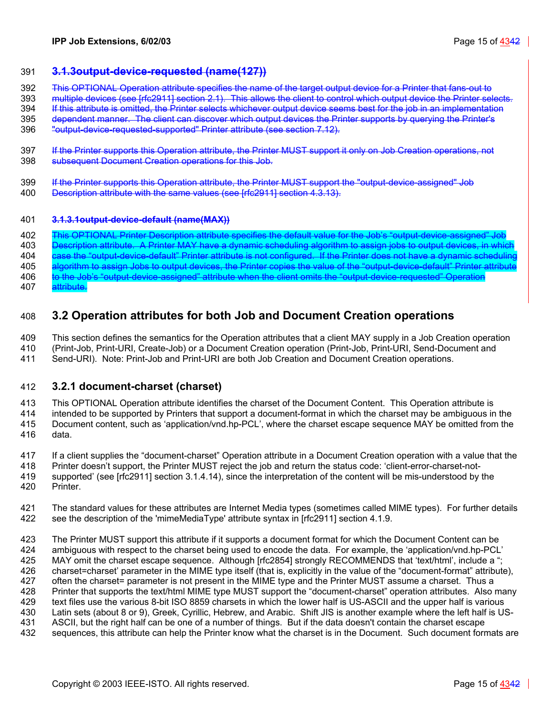### <span id="page-14-2"></span>391 **3.1.3output-device-requested (name(127))**

- 392 This OPTIONAL Operation attribute specifies the name of the target output device for a Printer that fans-out to
- 393 multiple devices (see [rfc2911] section 2.1). This allows the client to control which output device the Printer selects.
- 394 If this attribute is omitted, the Printer selects whichever output device seems best for the job in an implementation
- 395 dependent manner. The client can discover which output devices the Printer supports by querying the Printer's
- 396 "output-device-requested-supported" Printer attribute (see section [7.12\)](#page-32-2).
- 397 If the Printer supports this Operation attribute, the Printer MUST support it only on Job Creation operations, not 398 subsequent Document Creation operations for this Job.
- 399 If the Printer supports this Operation attribute, the Printer MUST support the "output-device-assigned" Job
- 400 Description attribute with the same values (see [rfc2911] section 4.3.13).

### 401 **3.1.3.1output-device-default (name(MAX))**

402 This OPTIONAL Printer Description attribute specifies the default value for the Job's "output-device-assigned" Job 403 Description attribute. A Printer MAY have a dynamic scheduling algorithm to assign jobs to output devices, in which 404 case the "output-device-default" Printer attribute is not configured. If the Printer does not have a dynamic schedulin 405 algorithm to assign Jobs to output devices, the Printer copies the value of the "output-device-default" Printer attribute 406 to the Job's "output-device-assigned" attribute when the client omits the "output-device-requested" Operation 407 attribute.

# <span id="page-14-0"></span>408 **3.2 Operation attributes for both Job and Document Creation operations**

409 This section defines the semantics for the Operation attributes that a client MAY supply in a Job Creation operation 410 (Print-Job, Print-URI, Create-Job) or a Document Creation operation (Print-Job, Print-URI, Send-Document and

411 Send-URI). Note: Print-Job and Print-URI are both Job Creation and Document Creation operations.

### <span id="page-14-1"></span>412 **3.2.1 document-charset (charset)**

413 This OPTIONAL Operation attribute identifies the charset of the Document Content. This Operation attribute is

414 intended to be supported by Printers that support a document-format in which the charset may be ambiguous in the 415 Document content, such as 'application/vnd.hp-PCL', where the charset escape sequence MAY be omitted from the 416 data.

417 If a client supplies the "document-charset" Operation attribute in a Document Creation operation with a value that the 418 Printer doesn't support, the Printer MUST reject the job and return the status code: 'client-error-charset-not-419 supported' (see [rfc2911] section 3.1.4.14), since the interpretation of the content will be mis-understood by the 420 Printer.

421 The standard values for these attributes are Internet Media types (sometimes called MIME types). For further details 422 see the description of the 'mimeMediaType' attribute syntax in [rfc2911] section 4.1.9.

423 The Printer MUST support this attribute if it supports a document format for which the Document Content can be 424 ambiguous with respect to the charset being used to encode the data. For example, the 'application/vnd.hp-PCL' 425 MAY omit the charset escape sequence. Although [rfc2854] strongly RECOMMENDS that 'text/html', include a "; 426 charset=charset' parameter in the MIME type itself (that is, explicitly in the value of the "document-format" attribute), 427 often the charset= parameter is not present in the MIME type and the Printer MUST assume a charset. Thus a 428 Printer that supports the text/html MIME type MUST support the "document-charset" operation attributes. Also many 429 text files use the various 8-bit ISO 8859 charsets in which the lower half is US-ASCII and the upper half is various 430 Latin sets (about 8 or 9), Greek, Cyrillic, Hebrew, and Arabic. Shift JIS is another example where the left half is US-431 ASCII, but the right half can be one of a number of things. But if the data doesn't contain the charset escape 432 sequences, this attribute can help the Printer know what the charset is in the Document. Such document formats are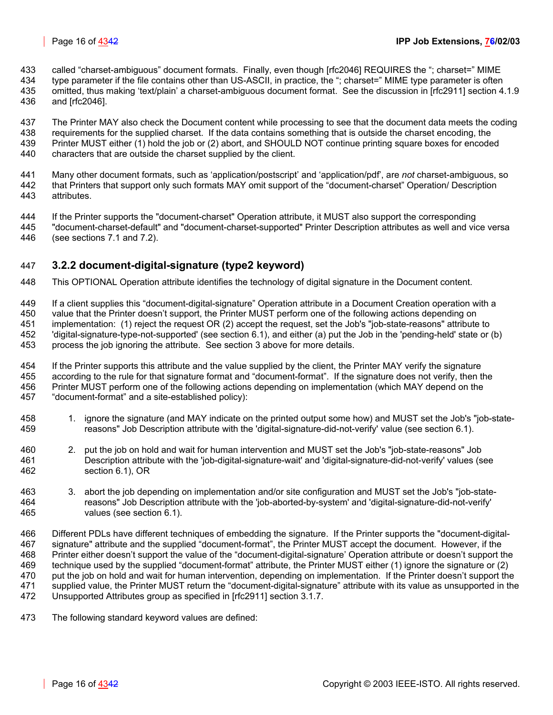- 433 called "charset-ambiguous" document formats. Finally, even though [rfc2046] REQUIRES the "; charset=" MIME
- 434 type parameter if the file contains other than US-ASCII, in practice, the "; charset=" MIME type parameter is often 435 omitted, thus making 'text/plain' a charset-ambiguous document format. See the discussion in [rfc2911] section 4.1.9
- 436 and [rfc2046].
- 437 The Printer MAY also check the Document content while processing to see that the document data meets the coding
- 438 requirements for the supplied charset. If the data contains something that is outside the charset encoding, the 439 Printer MUST either (1) hold the job or (2) abort, and SHOULD NOT continue printing square boxes for encoded
- 440 characters that are outside the charset supplied by the client.
- 441 Many other document formats, such as 'application/postscript' and 'application/pdf', are *not* charset-ambiguous, so that Printers that support only such formats MAY omit support of the "document-charset" Operation/ Description
- 443 attributes.
- 444 If the Printer supports the "document-charset" Operation attribute, it MUST also support the corresponding 445 "document-charset-default" and "document-charset-supported" Printer Description attributes as well and vice versa
- 446 (see sections [7.1](#page-30-0) and [7.2\)](#page-30-1).

# <span id="page-15-0"></span>447 **3.2.2 document-digital-signature (type2 keyword)**

- 448 This OPTIONAL Operation attribute identifies the technology of digital signature in the Document content.
- 449 If a client supplies this "document-digital-signature" Operation attribute in a Document Creation operation with a 450 value that the Printer doesn't support, the Printer MUST perform one of the following actions depending on 451 implementation: (1) reject the request OR (2) accept the request, set the Job's "job-state-reasons" attribute to 452 'digital-signature-type-not-supported' (see section [6.1\)](#page-28-3), and either (a) put the Job in the 'pending-held' state or (b) 453 process the job ignoring the attribute. See section [3](#page-9-0) [above](#page-14-0) for more details.
- 454 If the Printer supports this attribute and the value supplied by the client, the Printer MAY verify the signature 455 according to the rule for that signature format and "document-format". If the signature does not verify, then the 456 Printer MUST perform one of the following actions depending on implementation (which MAY depend on the 457 "document-format" and a site-established policy):
- 458 1. ignore the signature (and MAY indicate on the printed output some how) and MUST set the Job's "job-state-459 reasons" Job Description attribute with the 'digital-signature-did-not-verify' value (see section [6.1\)](#page-28-3).
- 460 2. put the job on hold and wait for human intervention and MUST set the Job's "job-state-reasons" Job 461 Description attribute with the 'job-digital-signature-wait' and 'digital-signature-did-not-verify' values (see 462 section [6.1\)](#page-28-3), OR
- 463 3. abort the job depending on implementation and/or site configuration and MUST set the Job's "job-state-464 reasons" Job Description attribute with the 'job-aborted-by-system' and 'digital-signature-did-not-verify' 465 values (see section [6.1\)](#page-28-3).
- 466 Different PDLs have different techniques of embedding the signature. If the Printer supports the "document-digital-467 signature" attribute and the supplied "document-format", the Printer MUST accept the document. However, if the 468 Printer either doesn't support the value of the "document-digital-signature' Operation attribute or doesn't support the 469 technique used by the supplied "document-format" attribute, the Printer MUST either (1) ignore the signature or (2) 470 put the job on hold and wait for human intervention, depending on implementation. If the Printer doesn't support the 471 supplied value, the Printer MUST return the "document-digital-signature" attribute with its value as unsupported in the 472 Unsupported Attributes group as specified in [rfc2911] section 3.1.7.
- 473 The following standard keyword values are defined: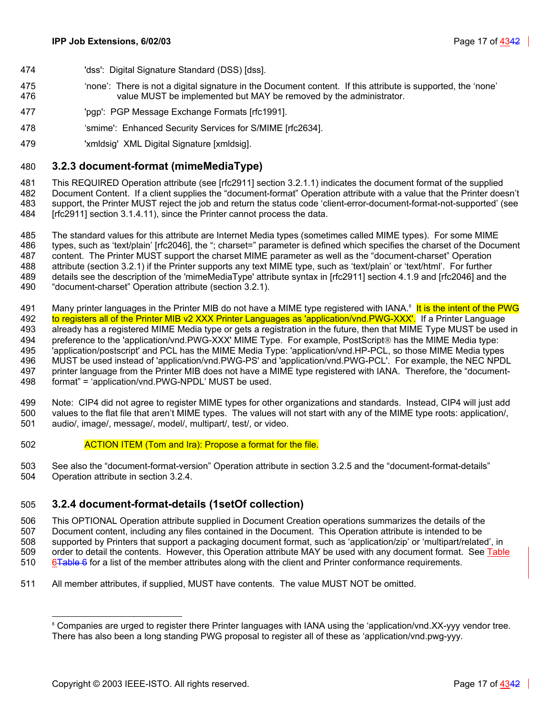- 474 'dss': Digital Signature Standard (DSS) [dss].
- 475 'none': There is not a digital signature in the Document content. If this attribute is supported, the 'none' 476 value MUST be implemented but MAY be removed by the administrator.
- 477 'pgp': PGP Message Exchange Formats [rfc1991].
- 478 'smime': Enhanced Security Services for S/MIME [rfc2634].
- 479 'xmldsig' XML Digital Signature [xmldsig].

### <span id="page-16-0"></span>480 **3.2.3 document-format (mimeMediaType)**

481 This REQUIRED Operation attribute (see [rfc2911] section 3.2.1.1) indicates the document format of the supplied 482 Document Content. If a client supplies the "document-format" Operation attribute with a value that the Printer doesn't 483 support, the Printer MUST reject the job and return the status code 'client-error-document-format-not-supported' (see 484 [rfc2911] section 3.1.4.11), since the Printer cannot process the data.

485 The standard values for this attribute are Internet Media types (sometimes called MIME types). For some MIME 486 types, such as 'text/plain' [rfc2046], the "; charset=" parameter is defined which specifies the charset of the Document 487 content. The Printer MUST support the charset MIME parameter as well as the "document-charset" Operation 488 attribute (section [3.2.1\)](#page-14-1) if the Printer supports any text MIME type, such as 'text/plain' or 'text/html'. For further 489 details see the description of the 'mimeMediaType' attribute syntax in [rfc2911] section 4.1.9 and [rfc2046] and the

- 490 "document-charset" Operation attribute (section [3.2.1\)](#page-14-1).
- 491 Many printer languages in the Printer MIB do not have a MIME type registered with IANA.<sup>8</sup> It is the intent of the PWG<br>492 Universities all of the Printer MIB v2 XXX Printer Languages as 'application/vnd.PWG-XXX'. I to registers all of the Printer MIB v2 XXX Printer Languages as 'application/vnd.PWG-XXX'. If a Printer Language 493 already has a registered MIME Media type or gets a registration in the future, then that MIME Type MUST be used in 494 preference to the 'application/vnd.PWG-XXX' MIME Type. For example, PostScript<sup>®</sup> has the MIME Media type: 495 'application/postscript' and PCL has the MIME Media Type: 'application/vnd.HP-PCL, so those MIME Media types 496 MUST be used instead of 'application/vnd.PWG-PS' and 'application/vnd.PWG-PCL'. For example, the NEC NPDL 497 printer language from the Printer MIB does not have a MIME type registered with IANA. Therefore, the "document-498 format" = 'application/vnd.PWG-NPDL' MUST be used.

499 Note: CIP4 did not agree to register MIME types for other organizations and standards. Instead, CIP4 will just add 500 values to the flat file that aren't MIME types. The values will not start with any of the MIME type roots: application/, 501 audio/, image/, message/, model/, multipart/, test/, or video.

- 502 **ACTION ITEM (Tom and Ira): Propose a format for the file.**
- 503 See also the "document-format-version" Operation attribute in section [3.2.5](#page-19-4) and the "document-format-details" 504 Operation attribute in section [3.2.4.](#page-16-1)

### <span id="page-16-1"></span>505 **3.2.4 document-format-details (1setOf collection)**

506 This OPTIONAL Operation attribute supplied in Document Creation operations summarizes the details of the 507 Document content, including any files contained in the Document. This Operation attribute is intended to be 508 supported by Printers that support a packaging document format, such as 'application/zip' or 'multipart/related', in 509 order to detail the contents. However, this Operation attribute MAY be used with any document format. See [Table](#page-17-0)  510 6<del>Table 6</del> for a list of the member attributes along with the client and Printer conformance requirements.

511 All member attributes, if supplied, MUST have contents. The value MUST NOT be omitted.

 $\overline{a}$ 

<span id="page-16-2"></span><sup>&</sup>lt;sup>8</sup> Companies are urged to register there Printer languages with IANA using the 'application/vnd.XX-yyy vendor tree. There has also been a long standing PWG proposal to register all of these as 'application/vnd.pwg-yyy.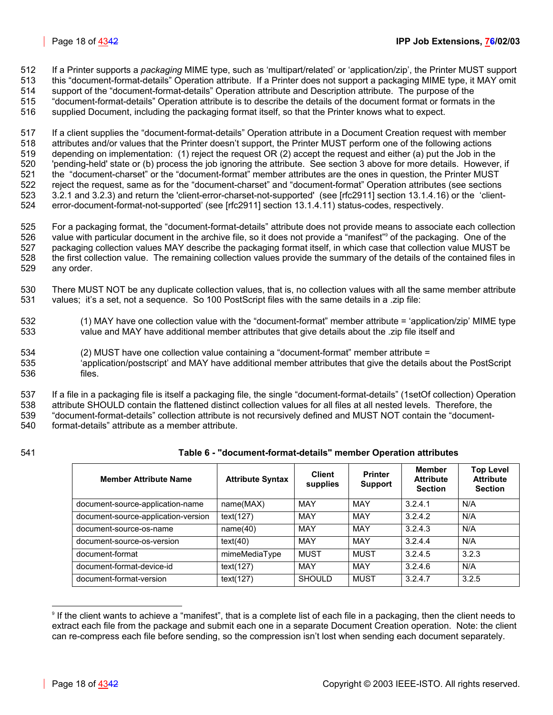512 If a Printer supports a *packaging* MIME type, such as 'multipart/related' or 'application/zip', the Printer MUST support 513 this "document-format-details" Operation attribute. If a Printer does not support a packaging MIME type, it MAY omit

514 support of the "document-format-details" Operation attribute and Description attribute. The purpose of the

515 "document-format-details" Operation attribute is to describe the details of the document format or formats in the

516 supplied Document, including the packaging format itself, so that the Printer knows what to expect.

517 If a client supplies the "document-format-details" Operation attribute in a Document Creation request with member 518 attributes and/or values that the Printer doesn't support, the Printer MUST perform one of the following actions 519 depending on implementation: (1) reject the request OR (2) accept the request and either (a) put the Job in the 520 'pending-held' state or (b) process the job ignoring the attribute. See section [3](#page-9-0) [above](#page-14-0) for more details. However, if 521 the "document-charset" or the "document-format" member attributes are the ones in question, the Printer MUST 522 reject the request, same as for the "document-charset" and "document-format" Operation attributes (see sections 523 [3.2.1](#page-14-1) and [3.2.3\)](#page-16-0) and return the 'client-error-charset-not-supported' (see [rfc2911] section 13.1.4.16) or the 'client-524 error-document-format-not-supported' (see [rfc2911] section 13.1.4.11) status-codes, respectively.

525 For a packaging format, the "document-format-details" attribute does not provide means to associate each collection 526 value with particular document in the archive file, so it does not provide a "manifest" of the packaging. One of the 527 packaging collection values MAY describe the packaging format itself, in which case that collection value MUST be 528 the first collection value. The remaining collection values provide the summary of the details of the contained files in 529 any order.

530 There MUST NOT be any duplicate collection values, that is, no collection values with all the same member attribute 531 values; it's a set, not a sequence. So 100 PostScript files with the same details in a .zip file:

- 532 (1) MAY have one collection value with the "document-format" member attribute = 'application/zip' MIME type 533 value and MAY have additional member attributes that give details about the .zip file itself and
- 534 (2) MUST have one collection value containing a "document-format" member attribute = 535 'application/postscript' and MAY have additional member attributes that give the details about the PostScript 536 files.

537 If a file in a packaging file is itself a packaging file, the single "document-format-details" (1setOf collection) Operation 538 attribute SHOULD contain the flattened distinct collection values for all files at all nested levels. Therefore, the 539 "document-format-details" collection attribute is not recursively defined and MUST NOT contain the "document-

540 format-details" attribute as a member attribute.

### 541 **Table 6 - "document-format-details" member Operation attributes**

<span id="page-17-0"></span>

| <b>Member Attribute Name</b>        | <b>Attribute Syntax</b> | <b>Client</b><br>supplies | <b>Printer</b><br><b>Support</b> | <b>Member</b><br><b>Attribute</b><br><b>Section</b> | <b>Top Level</b><br><b>Attribute</b><br><b>Section</b> |
|-------------------------------------|-------------------------|---------------------------|----------------------------------|-----------------------------------------------------|--------------------------------------------------------|
| document-source-application-name    | name(MAX)               | MAY                       | MAY                              | 3.2.4.1                                             | N/A                                                    |
| document-source-application-version | text(127)               | MAY                       | MAY                              | 3.2.4.2                                             | N/A                                                    |
| document-source-os-name             | name(40)                | <b>MAY</b>                | MAY                              | 3.2.4.3                                             | N/A                                                    |
| document-source-os-version          | text(40)                | MAY                       | MAY                              | 3.2.4.4                                             | N/A                                                    |
| document-format                     | mimeMediaType           | <b>MUST</b>               | <b>MUST</b>                      | 3.2.4.5                                             | 3.2.3                                                  |
| document-format-device-id           | text(127)               | MAY                       | MAY                              | 3.2.4.6                                             | N/A                                                    |
| document-format-version             | text(127)               | <b>SHOULD</b>             | <b>MUST</b>                      | 3.2.4.7                                             | 3.2.5                                                  |

<span id="page-17-1"></span><sup>9</sup> If the client wants to achieve a "manifest", that is a complete list of each file in a packaging, then the client needs to extract each file from the package and submit each one in a separate Document Creation operation. Note: the client can re-compress each file before sending, so the compression isn't lost when sending each document separately.

l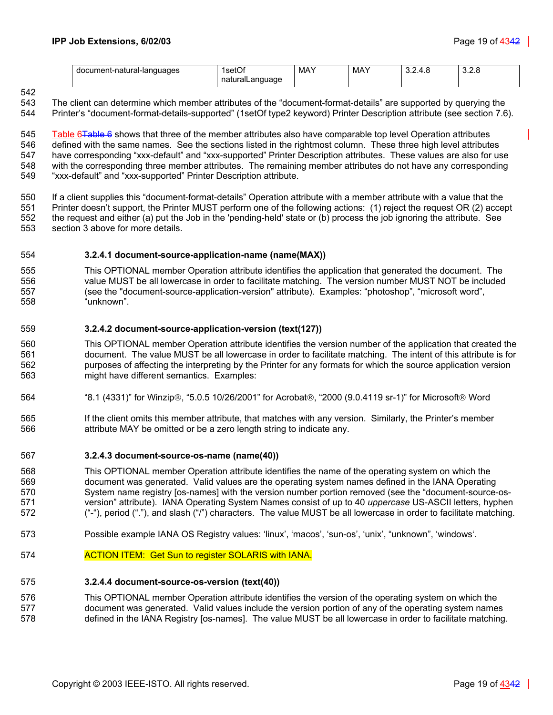| document-natural-languages | IsetOf<br>naturalLanguage | MAY | MAY | ∪.∠.⊤.∪ | $\sim$<br>∪.∠. |
|----------------------------|---------------------------|-----|-----|---------|----------------|
|                            | . .                       |     |     |         |                |

542

543 The client can determine which member attributes of the "document-format-details" are supported by querying the 544 Printer's "document-format-details-supported" (1setOf type2 keyword) Printer Description attribute (see section [7.6\)](#page-31-2).

545 [Table 6Table 6](#page-17-0) shows that three of the member attributes also have comparable top level Operation attributes 546 defined with the same names. See the sections listed in the rightmost column. These three high level attributes 547 have corresponding "xxx-default" and "xxx-supported" Printer Description attributes. These values are also for use 548 with the corresponding three member attributes. The remaining member attributes do not have any corresponding 549 "xxx-default" and "xxx-supported" Printer Description attribute.

550 If a client supplies this "document-format-details" Operation attribute with a member attribute with a value that the 551 Printer doesn't support, the Printer MUST perform one of the following actions: (1) reject the request OR (2) accept 552 the request and either (a) put the Job in the 'pending-held' state or (b) process the job ignoring the attribute. See 553 section [3](#page-9-0) [above](#page-14-0) for more details.

### <span id="page-18-0"></span>554 **3.2.4.1 document-source-application-name (name(MAX))**

555 This OPTIONAL member Operation attribute identifies the application that generated the document. The 556 value MUST be all lowercase in order to facilitate matching. The version number MUST NOT be included 557 (see the "document-source-application-version" attribute). Examples: "photoshop", "microsoft word", 558 "unknown".

### <span id="page-18-1"></span>559 **3.2.4.2 document-source-application-version (text(127))**

560 This OPTIONAL member Operation attribute identifies the version number of the application that created the 561 document. The value MUST be all lowercase in order to facilitate matching. The intent of this attribute is for 562 purposes of affecting the interpreting by the Printer for any formats for which the source application version 563 might have different semantics. Examples:

- 564 "8.1 (4331)" for Winzip®, "5.0.5 10/26/2001" for Acrobat®, "2000 (9.0.4119 sr-1)" for Microsoft® Word
- 565 If the client omits this member attribute, that matches with any version. Similarly, the Printer's member 566 attribute MAY be omitted or be a zero length string to indicate any.

### <span id="page-18-2"></span>567 **3.2.4.3 document-source-os-name (name(40))**

568 This OPTIONAL member Operation attribute identifies the name of the operating system on which the 569 document was generated. Valid values are the operating system names defined in the IANA Operating 570 System name registry [os-names] with the version number portion removed (see the "document-source-os-571 version" attribute). IANA Operating System Names consist of up to 40 *uppercase* US-ASCII letters, hyphen 572 ("-"), period ("."), and slash ("/") characters. The value MUST be all lowercase in order to facilitate matching.

- 573 Possible example IANA OS Registry values: 'linux', 'macos', 'sun-os', 'unix', "unknown", 'windows'.
- 574 **ACTION ITEM: Get Sun to register SOLARIS with IANA.**

### <span id="page-18-3"></span>575 **3.2.4.4 document-source-os-version (text(40))**

576 This OPTIONAL member Operation attribute identifies the version of the operating system on which the 577 document was generated. Valid values include the version portion of any of the operating system names 578 defined in the IANA Registry [os-names]. The value MUST be all lowercase in order to facilitate matching.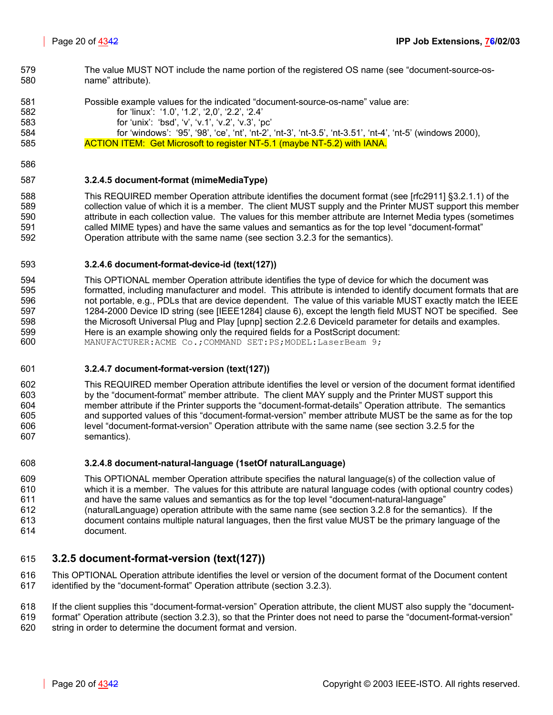- 579 The value MUST NOT include the name portion of the registered OS name (see "document-source-os-580 name" attribute).
- 581 Possible example values for the indicated "document-source-os-name" value are: 582 for 'linux': '1.0', '1.2', '2,0', '2.2', '2.4' 583 for 'unix': 'bsd', 'v', 'v.1', 'v.2', 'v.3', 'pc' 584 for 'windows': '95', '98', 'ce', 'nt', 'nt-2', 'nt-3', 'nt-3.5', 'nt-3.51', 'nt-4', 'nt-5' (windows 2000), 585 **ACTION ITEM: Get Microsoft to register NT-5.1 (maybe NT-5.2) with IANA.**
- 586

### <span id="page-19-0"></span>587 **3.2.4.5 document-format (mimeMediaType)**

588 This REQUIRED member Operation attribute identifies the document format (see [rfc2911] §3.2.1.1) of the 589 collection value of which it is a member. The client MUST supply and the Printer MUST support this member 590 attribute in each collection value. The values for this member attribute are Internet Media types (sometimes 591 called MIME types) and have the same values and semantics as for the top level "document-format" 592 Operation attribute with the same name (see section [3.2.3](#page-16-0) for the semantics).

### <span id="page-19-1"></span>593 **3.2.4.6 document-format-device-id (text(127))**

594 This OPTIONAL member Operation attribute identifies the type of device for which the document was 595 formatted, including manufacturer and model. This attribute is intended to identify document formats that are 596 not portable, e.g., PDLs that are device dependent. The value of this variable MUST exactly match the IEEE 597 1284-2000 Device ID string (see [IEEE1284] clause 6), except the length field MUST NOT be specified. See 598 the Microsoft Universal Plug and Play [upnp] section 2.2.6 DeviceId parameter for details and examples. 599 Here is an example showing only the required fields for a PostScript document:<br>600 MANUFACTURER: ACME Co.: COMMAND SET: PS: MODEL: LaserBeam 9: MANUFACTURER: ACME Co.; COMMAND SET: PS; MODEL: LaserBeam 9;

# <span id="page-19-2"></span>601 **3.2.4.7 document-format-version (text(127))**

602 This REQUIRED member Operation attribute identifies the level or version of the document format identified 603 by the "document-format" member attribute. The client MAY supply and the Printer MUST support this 604 member attribute if the Printer supports the "document-format-details" Operation attribute. The semantics 605 and supported values of this "document-format-version" member attribute MUST be the same as for the top 606 level "document-format-version" Operation attribute with the same name (see section [3.2.5](#page-19-4) for the 607 semantics).

### <span id="page-19-3"></span>608 **3.2.4.8 document-natural-language (1setOf naturalLanguage)**

609 This OPTIONAL member Operation attribute specifies the natural language(s) of the collection value of 610 which it is a member. The values for this attribute are natural language codes (with optional country codes) 611 and have the same values and semantics as for the top level "document-natural-language" 612 (naturalLanguage) operation attribute with the same name (see section [3.2.8](#page-21-0) for the semantics). If the 613 document contains multiple natural languages, then the first value MUST be the primary language of the 614 document.

### <span id="page-19-4"></span>615 **3.2.5 document-format-version (text(127))**

616 This OPTIONAL Operation attribute identifies the level or version of the document format of the Document content 617 identified by the "document-format" Operation attribute (section [3.2.3\)](#page-16-0).

- 618 If the client supplies this "document-format-version" Operation attribute, the client MUST also supply the "document-
- 619 format" Operation attribute (section [3.2.3\)](#page-16-0), so that the Printer does not need to parse the "document-format-version"
- 620 string in order to determine the document format and version.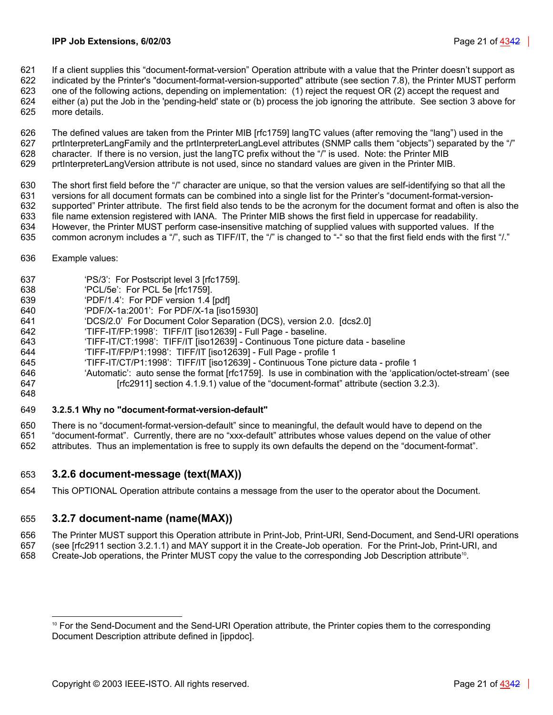- 621 If a client supplies this "document-format-version" Operation attribute with a value that the Printer doesn't support as
- 622 indicated by the Printer's "document-format-version-supported" attribute (see section [7.8\)](#page-31-4), the Printer MUST perform 623 one of the following actions, depending on implementation: (1) reject the request OR (2) accept the request and
- 624 either (a) put the Job in the 'pending-held' state or (b) process the job ignoring the attribute. See section [3](#page-9-0) [above](#page-14-0) for 625 more details.
- 626 The defined values are taken from the Printer MIB [rfc1759] langTC values (after removing the "lang") used in the 627 prtInterpreterLangFamily and the prtInterpreterLangLevel attributes (SNMP calls them "objects") separated by the "/" 628 character. If there is no version, just the langTC prefix without the "/" is used. Note: the Printer MIB 629 prtInterpreterLangVersion attribute is not used, since no standard values are given in the Printer MIB.
- 
- 630 The short first field before the "/" character are unique, so that the version values are self-identifying so that all the 631 versions for all document formats can be combined into a single list for the Printer's "document-format-version-632 supported" Printer attribute. The first field also tends to be the acronym for the document format and often is also the 633 file name extension registered with IANA. The Printer MIB shows the first field in uppercase for readability. 634 However, the Printer MUST perform case-insensitive matching of supplied values with supported values. If the
- 635 common acronym includes a "/", such as TIFF/IT, the "/" is changed to "-" so that the first field ends with the first "/."
- 636 Example values:
- 637 'PS/3': For Postscript level 3 [rfc1759].
- 638 'PCL/5e': For PCL 5e [rfc1759].
- 639 'PDF/1.4': For PDF version 1.4 [pdf]
- 640 'PDF/X-1a:2001': For PDF/X-1a [iso15930]
- 641 'DCS/2.0' For Document Color Separation (DCS), version 2.0. [dcs2.0]
- 642 'TIFF-IT/FP:1998': TIFF/IT [iso12639] Full Page baseline.
- 643 'TIFF-IT/CT:1998': TIFF/IT [iso12639] Continuous Tone picture data baseline
- 644 'TIFF-IT/FP/P1:1998': TIFF/IT [iso12639] Full Page profile 1
- 645 'TIFF-IT/CT/P1:1998': TIFF/IT [iso12639] Continuous Tone picture data profile 1
- 646 'Automatic': auto sense the format [rfc1759]. Is use in combination with the 'application/octet-stream' (see 647 **[rfc2911] section 4.1.9.1) value of the "document-format" attribute (section [3.2.3\)](#page-16-0).**
- 648

### <span id="page-20-0"></span>649 **3.2.5.1 Why no "document-format-version-default"**

650 There is no "document-format-version-default" since to meaningful, the default would have to depend on the

651 "document-format". Currently, there are no "xxx-default" attributes whose values depend on the value of other 652 attributes. Thus an implementation is free to supply its own defaults the depend on the "document-format".

### <span id="page-20-1"></span>653 **3.2.6 document-message (text(MAX))**

654 This OPTIONAL Operation attribute contains a message from the user to the operator about the Document.

### <span id="page-20-2"></span>655 **3.2.7 document-name (name(MAX))**

- 656 The Printer MUST support this Operation attribute in Print-Job, Print-URI, Send-Document, and Send-URI operations 657 (see [rfc2911 section 3.2.1.1) and MAY support it in the Create-Job operation. For the Print-Job, Print-URI, and
- 658 Create-Job operations, the Printer MUST copy the value to the corresponding Job Description attribute<sup>10</sup>[.](#page-20-3)

<span id="page-20-3"></span> $\overline{a}$ <sup>10</sup> For the Send-Document and the Send-URI Operation attribute, the Printer copies them to the corresponding Document Description attribute defined in [ippdoc].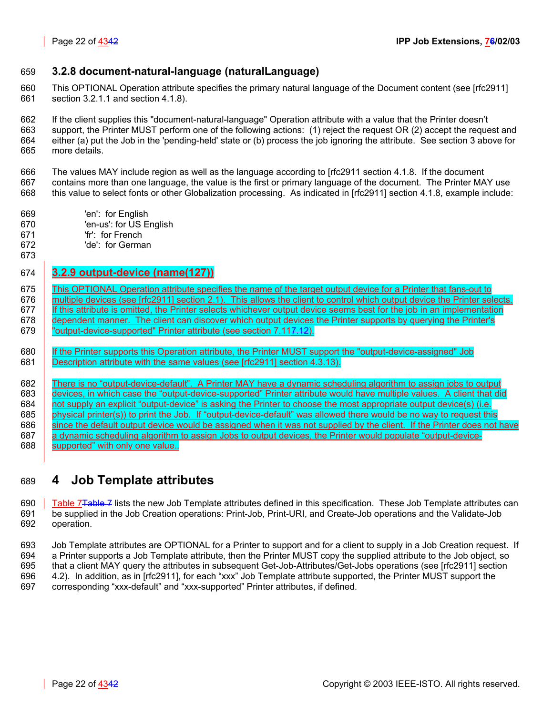### <span id="page-21-0"></span>659 **3.2.8 document-natural-language (naturalLanguage)**

660 This OPTIONAL Operation attribute specifies the primary natural language of the Document content (see [rfc2911] 661 section 3.2.1.1 and section 4.1.8).

662 If the client supplies this "document-natural-language" Operation attribute with a value that the Printer doesn't 663 support, the Printer MUST perform one of the following actions: (1) reject the request OR (2) accept the request and 664 either (a) put the Job in the 'pending-held' state or (b) process the job ignoring the attribute. See section [3](#page-9-0) [above](#page-14-0) for 665 more details.

666 The values MAY include region as well as the language according to [rfc2911 section 4.1.8. If the document 667 contains more than one language, the value is the first or primary language of the document. The Printer MAY use 668 this value to select fonts or other Globalization processing. As indicated in [rfc2911] section 4.1.8, example include:

- 669 'en': for English
- 670 'en-us': for US English
- 671 'fr': for French
- 672 'de': for German
- 673

### <span id="page-21-1"></span>674 **3.2.9 output-device (name(127))**

675 **This OPTIONAL Operation attribute specifies the name of the target output device for a Printer that fans-out to** 676 **multiple devices (see [rfc2911] section 2.1).** This allows the client to control which output device the Printer selects. 677 | If this attribute is omitted, the Printer selects whichever output device seems best for the job in an implementation 678 **dependent manner. The client can discover which output devices the Printer supports by querying the Printer's** 679 | "output-device-supported" Printer attribute (see section 7.11<del>7.12</del>).

680 | If the Printer supports this Operation attribute, the Printer MUST support the "output-device-assigned" Job 681 **Description attribute with the same values (see [rfc2911] section 4.3.13).** 

682 There is no "output-device-default". A Printer MAY have a dynamic scheduling algorithm to assign jobs to output 683 devices, in which case the "output-device-supported" Printer attribute would have multiple values. A client that did 684 not supply an explicit "output-device" is asking the Printer to choose the most appropriate output device(s) (i.e. 685 physical printer(s)) to print the Job. If "output-device-default" was allowed there would be no way to request this 686 since the default output device would be assigned when it was not supplied by the client. If the Printer does not have 687 a dynamic scheduling algorithm to assign Jobs to output devices, the Printer would populate "output-device-688 **Supported**" with only one value..

# <span id="page-21-2"></span>689 **4 Job Template attributes**

690 Table 7<del>Table 7</del> lists the new Job Template attributes defined in this specification. These Job Template attributes can 691 be supplied in the Job Creation operations: Print-Job, Print-URI, and Create-Job operations and the Validate-Job 692 operation.

693 Job Template attributes are OPTIONAL for a Printer to support and for a client to supply in a Job Creation request. If 694 a Printer supports a Job Template attribute, then the Printer MUST copy the supplied attribute to the Job object, so 695 that a client MAY query the attributes in subsequent Get-Job-Attributes/Get-Jobs operations (see [rfc2911] section 696 4.2). In addition, as in [rfc2911], for each "xxx" Job Template attribute supported, the Printer MUST support the 697 corresponding "xxx-default" and "xxx-supported" Printer attributes, if defined.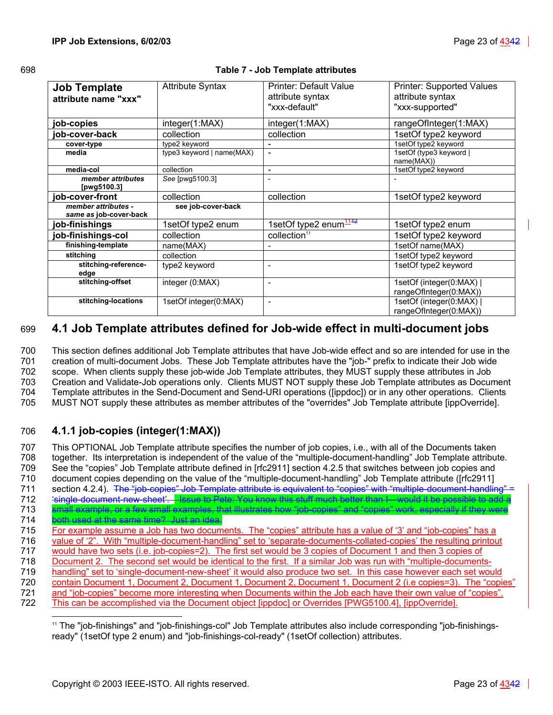| I<br>I<br>۰.<br>v<br>۰.<br>× | I<br>۰. |
|------------------------------|---------|
|------------------------------|---------|

### <span id="page-22-3"></span><span id="page-22-2"></span>698 **Table 7 - Job Template attributes**

| <b>Job Template</b><br>attribute name "xxx"   | <b>Attribute Syntax</b>   | Printer: Default Value<br>attribute syntax<br>"xxx-default" | <b>Printer: Supported Values</b><br>attribute syntax<br>"xxx-supported" |
|-----------------------------------------------|---------------------------|-------------------------------------------------------------|-------------------------------------------------------------------------|
| job-copies                                    | integer(1:MAX)            | integer(1:MAX)                                              | rangeOfInteger(1:MAX)                                                   |
| job-cover-back                                | collection                | collection                                                  | 1setOf type2 keyword                                                    |
| cover-type                                    | type2 keyword             | ٠                                                           | 1setOf type2 keyword                                                    |
| media                                         | type3 keyword   name(MAX) |                                                             | 1setOf (type3 keyword  <br>name(MAX))                                   |
| media-col                                     | collection                | $\blacksquare$                                              | 1setOf type2 keyword                                                    |
| member attributes<br>[pwg5100.3]              | See [pwg5100.3]           | $\overline{\phantom{0}}$                                    |                                                                         |
| job-cover-front                               | collection                | collection                                                  | 1setOf type2 keyword                                                    |
| member attributes -<br>same as job-cover-back | see job-cover-back        |                                                             |                                                                         |
| job-finishings                                | 1setOf type2 enum         | 1setOf type2 enum <sup>1142</sup>                           | 1setOf type2 enum                                                       |
| job-finishings-col                            | collection                | collection <sup>11</sup>                                    | 1setOf type2 keyword                                                    |
| finishing-template                            | name(MAX)                 |                                                             | 1setOf name(MAX)                                                        |
| stitching                                     | collection                |                                                             | 1setOf type2 keyword                                                    |
| stitching-reference-<br>edge                  | type2 keyword             | ۰                                                           | 1setOf type2 keyword                                                    |
| stitching-offset                              | integer (0:MAX)           | $\overline{\phantom{a}}$                                    | 1setOf (integer(0:MAX)  <br>rangeOfInteger(0:MAX))                      |
| stitching-locations                           | 1setOf integer(0:MAX)     | $\overline{\phantom{a}}$                                    | 1setOf (integer(0:MAX)  <br>rangeOfInteger(0:MAX))                      |

# <span id="page-22-0"></span>699 **4.1 Job Template attributes defined for Job-wide effect in multi-document jobs**

700 This section defines additional Job Template attributes that have Job-wide effect and so are intended for use in the 701 creation of multi-document Jobs. These Job Template attributes have the "job-" prefix to indicate their Job wide 702 scope. When clients supply these job-wide Job Template attributes, they MUST supply these attributes in Job 703 Creation and Validate-Job operations only. Clients MUST NOT supply these Job Template attributes as Document 704 Template attributes in the Send-Document and Send-URI operations ([ippdoc]) or in any other operations. Clients

705 MUST NOT supply these attributes as member attributes of the "overrides" Job Template attribute [ippOverride].

# <span id="page-22-1"></span>706 **4.1.1 job-copies (integer(1:MAX))**

707 This OPTIONAL Job Template attribute specifies the number of job copies, i.e., with all of the Documents taken 708 together. Its interpretation is independent of the value of the "multiple-document-handling" Job Template attribute. 709 See the "copies" Job Template attribute defined in [rfc2911] section 4.2.5 that switches between job copies and 710 document copies depending on the value of the "multiple-document-handling" Job Template attribute ([rfc2911] 711 section 4.2.4). The "job-copies" Job Template attribute is equivalent to "copies" with "multiple-document-handling 712 'single-document-new-sheet'. Issue to Pete: You know this stuff much better than I—would it be possible to add a 713 small example, or a few small examples, that illustrates how "job-copies" and "copies" work, especially if they were 714 both used at the same time? Just an idea. 715 For example assume a Job has two documents. The "copies" attribute has a value of '3' and "job-copies" has a 716 value of '2". With "multiple-document-handling" set to 'separate-documents-collated-copies' the resulting printout 717 would have two sets (i.e. job-copies=2). The first set would be 3 copies of Document 1 and then 3 copies of<br>718 Document 2. The second set would be identical to the first. If a similar Job was run with "multiple-docume Document 2. The second set would be identical to the first. If a similar Job was run with "multiple-documents-719 handling" set to 'single-document-new-sheet' it would also produce two set. In this case however each set would 720 contain Document 1, Document 2, Document 1, Document 2, Document 1, Document 2 (i.e copies=3). The "copies" 721 and "job-copies" become more interesting when Documents within the Job each have their own value of "copies". 722 This can be accomplished via the Document object [ippdoc] or Overrides [PWG5100.4], [ippOverride].

<span id="page-22-4"></span> $\overline{a}$ 11 The "job-finishings" and "job-finishings-col" Job Template attributes also include corresponding "job-finishingsready" (1setOf type 2 enum) and "job-finishings-col-ready" (1setOf collection) attributes.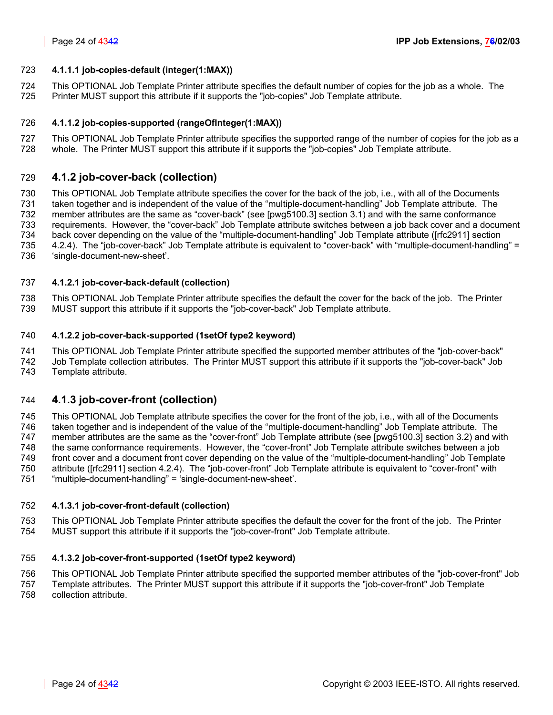### <span id="page-23-0"></span>723 **4.1.1.1 job-copies-default (integer(1:MAX))**

724 This OPTIONAL Job Template Printer attribute specifies the default number of copies for the job as a whole. The 725 Printer MUST support this attribute if it supports the "job-copies" Job Template attribute.

### <span id="page-23-1"></span>726 **4.1.1.2 job-copies-supported (rangeOfInteger(1:MAX))**

727 This OPTIONAL Job Template Printer attribute specifies the supported range of the number of copies for the job as a 728 whole. The Printer MUST support this attribute if it supports the "job-copies" Job Template attribute.

### <span id="page-23-2"></span>729 **4.1.2 job-cover-back (collection)**

730 This OPTIONAL Job Template attribute specifies the cover for the back of the job, i.e., with all of the Documents 731 taken together and is independent of the value of the "multiple-document-handling" Job Template attribute. The 732 member attributes are the same as "cover-back" (see [pwg5100.3] section 3.1) and with the same conformance 733 requirements. However, the "cover-back" Job Template attribute switches between a job back cover and a document 734 back cover depending on the value of the "multiple-document-handling" Job Template attribute ([rfc2911] section 735 4.2.4). The "job-cover-back" Job Template attribute is equivalent to "cover-back" with "multiple-document-handling" = 736 'single-document-new-sheet'.

### <span id="page-23-3"></span>737 **4.1.2.1 job-cover-back-default (collection)**

738 This OPTIONAL Job Template Printer attribute specifies the default the cover for the back of the job. The Printer 739 MUST support this attribute if it supports the "job-cover-back" Job Template attribute.

### <span id="page-23-4"></span>740 **4.1.2.2 job-cover-back-supported (1setOf type2 keyword)**

741 This OPTIONAL Job Template Printer attribute specified the supported member attributes of the "job-cover-back" 742 Job Template collection attributes. The Printer MUST support this attribute if it supports the "job-cover-back" Job 743 Template attribute.

### <span id="page-23-5"></span>744 **4.1.3 job-cover-front (collection)**

745 This OPTIONAL Job Template attribute specifies the cover for the front of the job, i.e., with all of the Documents 746 taken together and is independent of the value of the "multiple-document-handling" Job Template attribute. The 747 member attributes are the same as the "cover-front" Job Template attribute (see [pwg5100.3] section 3.2) and with 748 the same conformance requirements. However, the "cover-front" Job Template attribute switches between a job 749 front cover and a document front cover depending on the value of the "multiple-document-handling" Job Template 750 attribute ([rfc2911] section 4.2.4). The "job-cover-front" Job Template attribute is equivalent to "cover-front" with 751 "multiple-document-handling" = 'single-document-new-sheet'.

### <span id="page-23-6"></span>752 **4.1.3.1 job-cover-front-default (collection)**

753 This OPTIONAL Job Template Printer attribute specifies the default the cover for the front of the job. The Printer 754 MUST support this attribute if it supports the "job-cover-front" Job Template attribute.

### <span id="page-23-7"></span>755 **4.1.3.2 job-cover-front-supported (1setOf type2 keyword)**

756 This OPTIONAL Job Template Printer attribute specified the supported member attributes of the "job-cover-front" Job

757 Template attributes. The Printer MUST support this attribute if it supports the "job-cover-front" Job Template 758 collection attribute.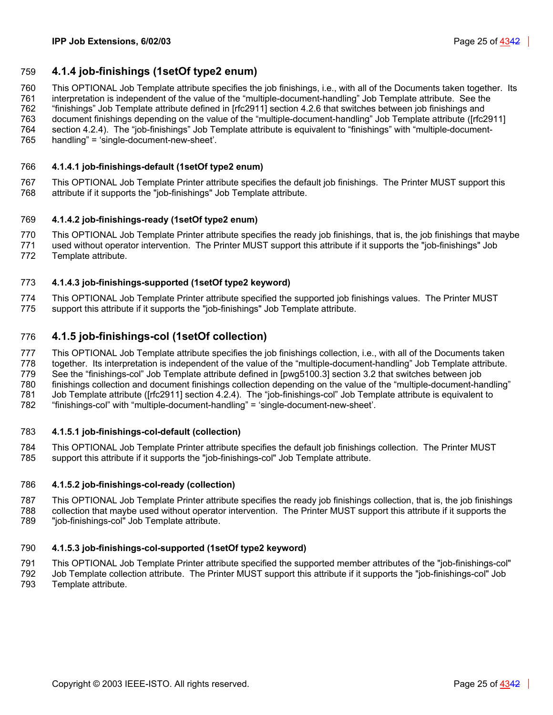### <span id="page-24-0"></span>759 **4.1.4 job-finishings (1setOf type2 enum)**

760 This OPTIONAL Job Template attribute specifies the job finishings, i.e., with all of the Documents taken together. Its

761 interpretation is independent of the value of the "multiple-document-handling" Job Template attribute. See the 762 "finishings" Job Template attribute defined in [rfc2911] section 4.2.6 that switches between job finishings and

763 document finishings depending on the value of the "multiple-document-handling" Job Template attribute ([rfc2911]

764 section 4.2.4). The "job-finishings" Job Template attribute is equivalent to "finishings" with "multiple-document-765 handling" = 'single-document-new-sheet'.

## <span id="page-24-1"></span>766 **4.1.4.1 job-finishings-default (1setOf type2 enum)**

767 This OPTIONAL Job Template Printer attribute specifies the default job finishings. The Printer MUST support this 768 attribute if it supports the "job-finishings" Job Template attribute.

## <span id="page-24-2"></span>769 **4.1.4.2 job-finishings-ready (1setOf type2 enum)**

770 This OPTIONAL Job Template Printer attribute specifies the ready job finishings, that is, the job finishings that maybe

771 used without operator intervention. The Printer MUST support this attribute if it supports the "job-finishings" Job 772 Template attribute.

# <span id="page-24-3"></span>773 **4.1.4.3 job-finishings-supported (1setOf type2 keyword)**

774 This OPTIONAL Job Template Printer attribute specified the supported job finishings values. The Printer MUST 775 support this attribute if it supports the "job-finishings" Job Template attribute.

## <span id="page-24-4"></span>776 **4.1.5 job-finishings-col (1setOf collection)**

777 This OPTIONAL Job Template attribute specifies the job finishings collection, i.e., with all of the Documents taken 778 together. Its interpretation is independent of the value of the "multiple-document-handling" Job Template attribute.

779 See the "finishings-col" Job Template attribute defined in [pwg5100.3] section 3.2 that switches between job

780 finishings collection and document finishings collection depending on the value of the "multiple-document-handling"

781 Job Template attribute ([rfc2911] section 4.2.4). The "job-finishings-col" Job Template attribute is equivalent to

782 "finishings-col" with "multiple-document-handling" = 'single-document-new-sheet'.

### <span id="page-24-5"></span>783 **4.1.5.1 job-finishings-col-default (collection)**

784 This OPTIONAL Job Template Printer attribute specifies the default job finishings collection. The Printer MUST 785 support this attribute if it supports the "job-finishings-col" Job Template attribute.

### <span id="page-24-6"></span>786 **4.1.5.2 job-finishings-col-ready (collection)**

787 This OPTIONAL Job Template Printer attribute specifies the ready job finishings collection, that is, the job finishings 788 collection that maybe used without operator intervention. The Printer MUST support this attribute if it supports the

789 "job-finishings-col" Job Template attribute.

### <span id="page-24-7"></span>790 **4.1.5.3 job-finishings-col-supported (1setOf type2 keyword)**

791 This OPTIONAL Job Template Printer attribute specified the supported member attributes of the "job-finishings-col"

792 Job Template collection attribute. The Printer MUST support this attribute if it supports the "job-finishings-col" Job 793 Template attribute.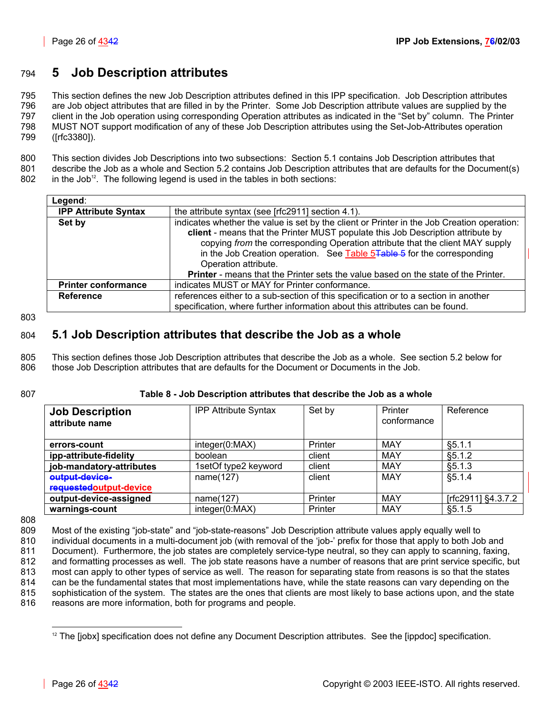# <span id="page-25-0"></span>794 **5 Job Description attributes**

795 This section defines the new Job Description attributes defined in this IPP specification. Job Description attributes 796 are Job object attributes that are filled in by the Printer. Some Job Description attribute values are supplied by the 797 client in the Job operation using corresponding Operation attributes as indicated in the "Set by" column. The Printer 798 MUST NOT support modification of any of these Job Description attributes using the Set-Job-Attributes operation 799 ([rfc3380]).

800 This section divides Job Descriptions into two subsections: Section [5.1](#page-25-1) contains Job Description attributes that

801 describe the Job as a whole and Section [5.2](#page-26-5) contains Job Description attributes that are defaults for the Document(s)  $802$  in the Job<sup>12</sup>[.](#page-25-3) The following legend is used in the tables in both sections:

| Legend:                     |                                                                                            |
|-----------------------------|--------------------------------------------------------------------------------------------|
| <b>IPP Attribute Syntax</b> | the attribute syntax (see [rfc2911] section 4.1).                                          |
| Set by                      | indicates whether the value is set by the client or Printer in the Job Creation operation: |
|                             | client - means that the Printer MUST populate this Job Description attribute by            |
|                             | copying from the corresponding Operation attribute that the client MAY supply              |
|                             | in the Job Creation operation. See Table 5Table 5 for the corresponding                    |
|                             | Operation attribute.                                                                       |
|                             | <b>Printer</b> - means that the Printer sets the value based on the state of the Printer.  |
| <b>Printer conformance</b>  | indicates MUST or MAY for Printer conformance.                                             |
| <b>Reference</b>            | references either to a sub-section of this specification or to a section in another        |
|                             | specification, where further information about this attributes can be found.               |

803

# <span id="page-25-1"></span>804 **5.1 Job Description attributes that describe the Job as a whole**

805 This section defines those Job Description attributes that describe the Job as a whole. See section [5.2](#page-26-5) below for 806 those Job Description attributes that are defaults for the Document or Documents in the Job.

### 807 **Table 8 - Job Description attributes that describe the Job as a whole**

<span id="page-25-2"></span>

| <b>Job Description</b><br>attribute name  | <b>IPP Attribute Syntax</b> | Set by  | Printer<br>conformance | Reference          |
|-------------------------------------------|-----------------------------|---------|------------------------|--------------------|
| errors-count                              | integer(0:MAX)              | Printer | MAY                    | §5.1.1             |
| ipp-attribute-fidelity                    | boolean                     | client  | MAY                    | §5.1.2             |
| job-mandatory-attributes                  | 1setOf type2 keyword        | client  | MAY                    | §5.1.3             |
| output-device-<br>requested output-device | name(127)                   | client  | MAY                    | §5.1.4             |
| output-device-assigned                    | name(127)                   | Printer | MAY                    | [rfc2911] §4.3.7.2 |
| warnings-count                            | integer(0:MAX)              | Printer | MAY                    | §5.1.5             |

808

809 Most of the existing "job-state" and "job-state-reasons" Job Description attribute values apply equally well to 810 individual documents in a multi-document job (with removal of the 'job-' prefix for those that apply to both Job and 811 Document). Furthermore, the job states are completely service-type neutral, so they can apply to scanning, faxing, 812 and formatting processes as well. The job state reasons have a number of reasons that are print service specific, but 813 most can apply to other types of service as well. The reason for separating state from reasons is so that the states 814 can be the fundamental states that most implementations have, while the state reasons can vary depending on the 815 sophistication of the system. The states are the ones that clients are most likely to base actions upon, and the state 816 reasons are more information, both for programs and people.

l

<span id="page-25-3"></span><sup>&</sup>lt;sup>12</sup> The [jobx] specification does not define any Document Description attributes. See the [ippdoc] specification.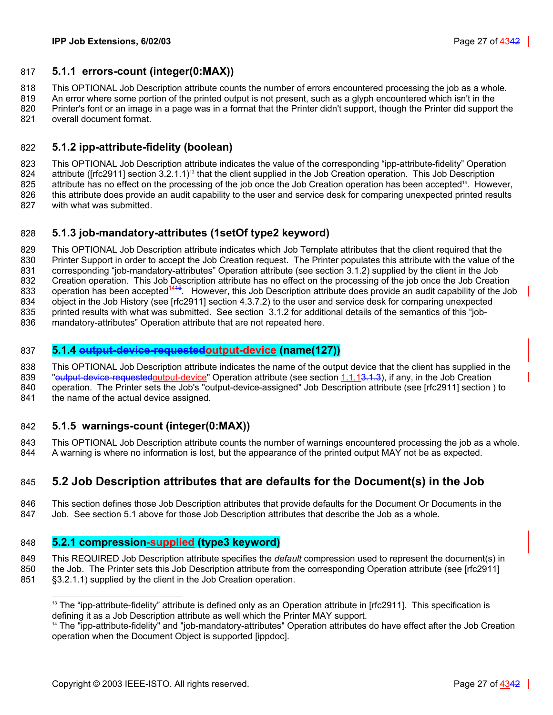### <span id="page-26-7"></span><span id="page-26-0"></span>817 **5.1.1 errors-count (integer(0:MAX))**

818 This OPTIONAL Job Description attribute counts the number of errors encountered processing the job as a whole.

819 An error where some portion of the printed output is not present, such as a glyph encountered which isn't in the 820 Printer's font or an image in a page was in a format that the Printer didn't support, though the Printer did support the 821 overall document format.

<span id="page-26-1"></span>

## 822 **5.1.2 ipp-attribute-fidelity (boolean)**

<span id="page-26-10"></span>823 This OPTIONAL Job Description attribute indicates the value of the corresponding "ipp-attribute-fidelity" Operation 824 attribute ([rfc2911] section 3.2.1.1)<sup>13</sup> that the client supplied in the Job Creation operation. This Job Description 825 attribute has no effect on the processing of the job once the Job Creation operation has been accepted<sup>14</sup>[.](#page-26-12) However, 826 this attribute does provide an audit capability to the user and service desk for comparing unexpected printed results 827 with what was submitted.

# <span id="page-26-2"></span>828 **5.1.3 job-mandatory-attributes (1setOf type2 keyword)**

829 This OPTIONAL Job Description attribute indicates which Job Template attributes that the client required that the 830 Printer Support in order to accept the Job Creation request. The Printer populates this attribute with the value of the 831 corresponding "job-mandatory-attributes" Operation attribute (see section [3.1.2\)](#page-12-3) supplied by the client in the Job 832 Creation operation. This Job Description attribute has no effect on the processing of the job once the Job Creation<br>833 operation has been accepted<sup>1415</sup>. However, this Job Description attribute does provide an audit c operation has been accepted<sup>1415</sup>[.](#page-26-10) However, this Job Description attribute does provide an audit capability of the Job 834 object in the Job History (see [rfc2911] section 4.3.7.2) to the user and service desk for comparing unexpected 835 printed results with what was submitted. See section [3.1.2](#page-12-3) for additional details of the semantics of this "job-836 mandatory-attributes" Operation attribute that are not repeated here.

### <span id="page-26-8"></span><span id="page-26-3"></span>837 **5.1.4 output-device-requestedoutput-device (name(127))**

838 This OPTIONAL Job Description attribute indicates the name of the output device that the client has supplied in the 839 "<del>output-device-requestedoutput-device</del>" Operation attribute (see section [1.1.13.1.3\)](#page-14-2), if any, in the Job Creation 840 operation. The Printer sets the Job's "output-device-assigned" Job Description attribute (see [rfc2911] section ) to

841 the name of the actual device assigned.

l

### <span id="page-26-9"></span><span id="page-26-4"></span>842 **5.1.5 warnings-count (integer(0:MAX))**

843 This OPTIONAL Job Description attribute counts the number of warnings encountered processing the job as a whole. 844 A warning is where no information is lost, but the appearance of the printed output MAY not be as expected.

# <span id="page-26-5"></span>845 **5.2 Job Description attributes that are defaults for the Document(s) in the Job**

846 This section defines those Job Description attributes that provide defaults for the Document Or Documents in the 847 Job. See section [5.1](#page-25-1) above for those Job Description attributes that describe the Job as a whole.

### <span id="page-26-6"></span>848 **5.2.1 compression-supplied (type3 keyword)**

849 This REQUIRED Job Description attribute specifies the *default* compression used to represent the document(s) in

850 the Job. The Printer sets this Job Description attribute from the corresponding Operation attribute (see [rfc2911]

851 §3.2.1.1) supplied by the client in the Job Creation operation.

<span id="page-26-11"></span> $13$  The "ipp-attribute-fidelity" attribute is defined only as an Operation attribute in [rfc2911]. This specification is defining it as a Job Description attribute as well which the Printer MAY support.

<span id="page-26-12"></span><sup>&</sup>lt;sup>14</sup> The "ipp-attribute-fidelity" and "job-mandatory-attributes" Operation attributes do have effect after the Job Creation operation when the Document Object is supported [ippdoc].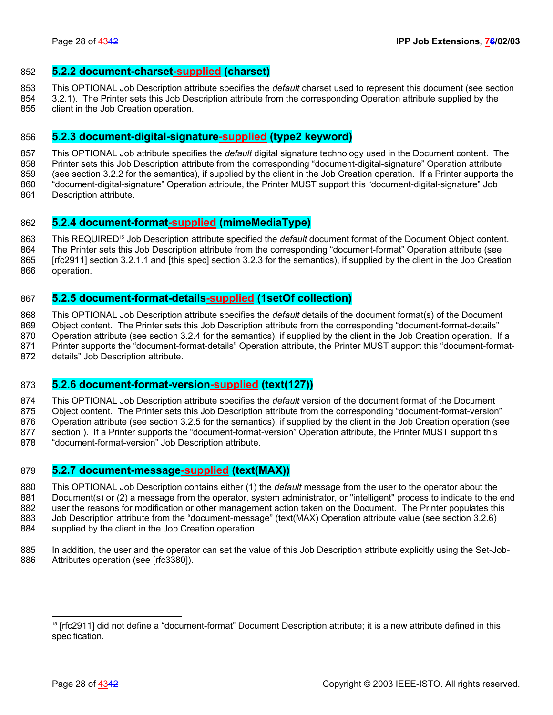### <span id="page-27-0"></span>852 **5.2.2 document-charset-supplied (charset)**

853 This OPTIONAL Job Description attribute specifies the *default* charset used to represent this document (see section

854 [3.2.1\)](#page-14-1). The Printer sets this Job Description attribute from the corresponding Operation attribute supplied by the 855 client in the Job Creation operation.

# <span id="page-27-1"></span>856 **5.2.3 document-digital-signature-supplied (type2 keyword)**

857 This OPTIONAL Job attribute specifies the *default* digital signature technology used in the Document content. The 858 Printer sets this Job Description attribute from the corresponding "document-digital-signature" Operation attribute 859 (see section [3.2.2](#page-15-0) for the semantics), if supplied by the client in the Job Creation operation. If a Printer supports the 860 "document-digital-signature" Operation attribute, the Printer MUST support this "document-digital-signature" Job 861 Description attribute.

<span id="page-27-2"></span>862 **5.2.4 document-format-supplied (mimeMediaType)**

863 This REQUIRED<sup>15</sup> Job Description attribute specified the *default* document format of the Document Object content. 864 The Printer sets this Job Description attribute from the corresponding "document-format" Operation attribute (see 865 [rfc2911] section 3.2.1.1 and [this spec] section [3.2.3](#page-16-0) for the semantics), if supplied by the client in the Job Creation

866 operation.

## <span id="page-27-3"></span>867 **5.2.5 document-format-details-supplied (1setOf collection)**

868 This OPTIONAL Job Description attribute specifies the *default* details of the document format(s) of the Document 869 Object content. The Printer sets this Job Description attribute from the corresponding "document-format-details" 870 Operation attribute (see section [3.2.4](#page-16-1) for the semantics), if supplied by the client in the Job Creation operation. If a 871 Printer supports the "document-format-details" Operation attribute, the Printer MUST support this "document-format-872 details" Job Description attribute.

### <span id="page-27-4"></span>873 **5.2.6 document-format-version-supplied (text(127))**

874 This OPTIONAL Job Description attribute specifies the *default* version of the document format of the Document

875 Object content. The Printer sets this Job Description attribute from the corresponding "document-format-version"

876 Operation attribute (see section [3.2.5](#page-19-4) for the semantics), if supplied by the client in the Job Creation operation (see

877 section ). If a Printer supports the "document-format-version" Operation attribute, the Printer MUST support this

878 "document-format-version" Job Description attribute.

# <span id="page-27-5"></span>879 **5.2.7 document-message-supplied (text(MAX))**

880 This OPTIONAL Job Description contains either (1) the *default* message from the user to the operator about the 881 Document(s) or (2) a message from the operator, system administrator, or "intelligent" process to indicate to the end 882 user the reasons for modification or other management action taken on the Document. The Printer populates this 883 Job Description attribute from the "document-message" (text(MAX) Operation attribute value (see section [3.2.6\)](#page-20-1) 884 supplied by the client in the Job Creation operation.

885 In addition, the user and the operator can set the value of this Job Description attribute explicitly using the Set-Job-886 Attributes operation (see [rfc3380]).

 $\overline{a}$ 

<span id="page-27-6"></span><sup>&</sup>lt;sup>15</sup> [rfc2911] did not define a "document-format" Document Description attribute; it is a new attribute defined in this specification.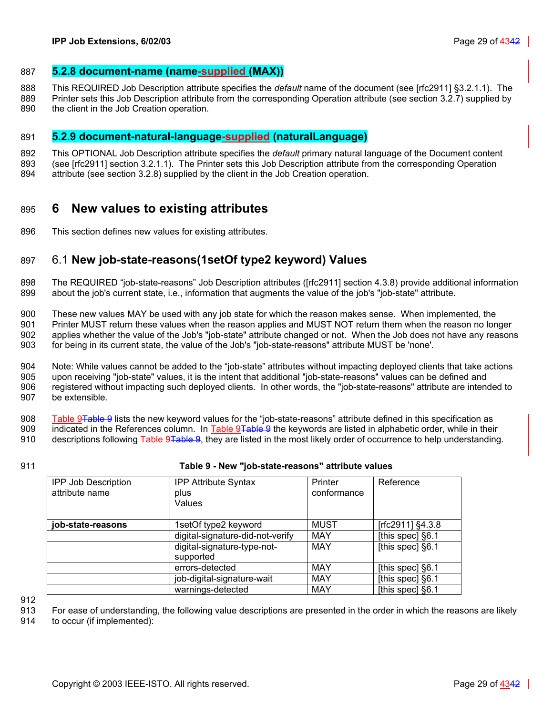### <span id="page-28-0"></span>887 **5.2.8 document-name (name-supplied (MAX))**

- 888 This REQUIRED Job Description attribute specifies the *default* name of the document (see [rfc2911] §3.2.1.1). The
- 889 Printer sets this Job Description attribute from the corresponding Operation attribute (see section [3.2.7\)](#page-20-2) supplied by 890 the client in the Job Creation operation.

### <span id="page-28-1"></span>891 **5.2.9 document-natural-language-supplied (naturalLanguage)**

- 892 This OPTIONAL Job Description attribute specifies the *default* primary natural language of the Document content
- 893 (see [rfc2911] section 3.2.1.1). The Printer sets this Job Description attribute from the corresponding Operation
- 894 attribute (see section [3.2.8\)](#page-21-0) supplied by the client in the Job Creation operation.

# <span id="page-28-2"></span>895 **6 New values to existing attributes**

896 This section defines new values for existing attributes.

# <span id="page-28-3"></span>897 6.1 **New job-state-reasons(1setOf type2 keyword) Values**

898 The REQUIRED "job-state-reasons" Job Description attributes ([rfc2911] section 4.3.8) provide additional information 899 about the job's current state, i.e., information that augments the value of the job's "job-state" attribute.

900 These new values MAY be used with any job state for which the reason makes sense. When implemented, the 901 Printer MUST return these values when the reason applies and MUST NOT return them when the reason no longer 902 applies whether the value of the Job's "job-state" attribute changed or not. When the Job does not have any reasons 903 for being in its current state, the value of the Job's "job-state-reasons" attribute MUST be 'none'.

904 Note: While values cannot be added to the "job-state" attributes without impacting deployed clients that take actions 905 upon receiving "job-state" values, it is the intent that additional "job-state-reasons" values can be defined and 906 registered without impacting such deployed clients. In other words, the "job-state-reasons" attribute are intended to 907 be extensible.

908 [Table 9Table 9](#page-28-4) lists the new keyword values for the "job-state-reasons" attribute defined in this specification as 909 indicated in the References column. In [Table 9Table 9](#page-28-4) the keywords are listed in alphabetic order, while in their

- 910 descriptions following Table 9<del>Table 9</del>, they are listed in the most likely order of occurrence to help understanding.
- 

### 911 **Table 9 - New "job-state-reasons" attribute values**

<span id="page-28-4"></span>

| <b>IPP Job Description</b><br>attribute name | <b>IPP Attribute Syntax</b><br>plus<br>Values | Printer<br>conformance | Reference        |
|----------------------------------------------|-----------------------------------------------|------------------------|------------------|
| job-state-reasons                            | 1setOf type2 keyword                          | <b>MUST</b>            | [rfc2911] §4.3.8 |
|                                              | digital-signature-did-not-verify              | <b>MAY</b>             | [this spec] §6.1 |
|                                              | digital-signature-type-not-<br>supported      | <b>MAY</b>             | [this spec] §6.1 |
|                                              | errors-detected                               | <b>MAY</b>             | [this spec] §6.1 |
|                                              | job-digital-signature-wait                    | <b>MAY</b>             | [this spec] §6.1 |
|                                              | warnings-detected                             | <b>MAY</b>             | [this spec] §6.1 |

912

913 For ease of understanding, the following value descriptions are presented in the order in which the reasons are likely

914 to occur (if implemented):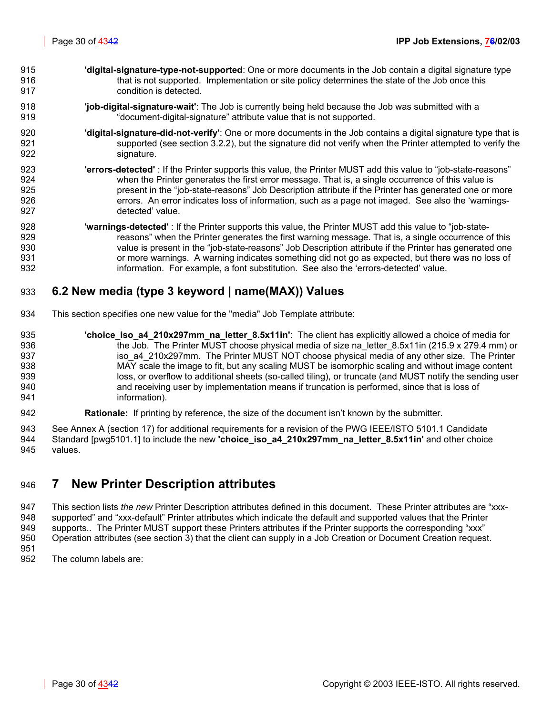- 915 **'digital-signature-type-not-supported**: One or more documents in the Job contain a digital signature type 916 that is not supported. Implementation or site policy determines the state of the Job once this 917 condition is detected.
- 918 **'job-digital-signature-wait'**: The Job is currently being held because the Job was submitted with a 919 "document-digital-signature" attribute value that is not supported.
- 920 **'digital-signature-did-not-verify'**: One or more documents in the Job contains a digital signature type that is 921 supported (see section [3.2.2\)](#page-15-0), but the signature did not verify when the Printer attempted to verify the 922 signature.
- 923 **'errors-detected'** : If the Printer supports this value, the Printer MUST add this value to "job-state-reasons" 924 when the Printer generates the first error message. That is, a single occurrence of this value is 925 present in the "job-state-reasons" Job Description attribute if the Printer has generated one or more 926 errors. An error indicates loss of information, such as a page not imaged. See also the 'warnings-927 detected' value.
- 928 **'warnings-detected'** : If the Printer supports this value, the Printer MUST add this value to "job-state-929 **reasons**" when the Printer generates the first warning message. That is, a single occurrence of this 930 value is present in the "job-state-reasons" Job Description attribute if the Printer has generated one 931 or more warnings. A warning indicates something did not go as expected, but there was no loss of 932 information. For example, a font substitution. See also the 'errors-detected' value.

# <span id="page-29-0"></span>933 **6.2 New media (type 3 keyword | name(MAX)) Values**

- 934 This section specifies one new value for the "media" Job Template attribute:
- 935 **'choice\_iso\_a4\_210x297mm\_na\_letter\_8.5x11in'**: The client has explicitly allowed a choice of media for 936 the Job. The Printer MUST choose physical media of size na letter 8.5x11in (215.9 x 279.4 mm) or 937 iso\_a4\_210x297mm. The Printer MUST NOT choose physical media of any other size. The Printer 938 MAY scale the image to fit, but any scaling MUST be isomorphic scaling and without image content 939 loss, or overflow to additional sheets (so-called tiling), or truncate (and MUST notify the sending user 940 and receiving user by implementation means if truncation is performed, since that is loss of 941 information).
- 942 **Rationale:** If printing by reference, the size of the document isn't known by the submitter.

943 See Annex A (section [17\)](#page-40-2) for additional requirements for a revision of the PWG IEEE/ISTO 5101.1 Candidate 944 Standard [pwg5101.1] to include the new **'choice\_iso\_a4\_210x297mm\_na\_letter\_8.5x11in'** and other choice 945 values.

# <span id="page-29-1"></span>946 **7 New Printer Description attributes**

947 This section lists *the new* Printer Description attributes defined in this document. These Printer attributes are "xxx-948 supported" and "xxx-default" Printer attributes which indicate the default and supported values that the Printer 949 supports.. The Printer MUST support these Printers attributes if the Printer supports the corresponding "xxx" 950 Operation attributes (see section [3\)](#page-9-0) that the client can supply in a Job Creation or Document Creation request. 951

952 The column labels are: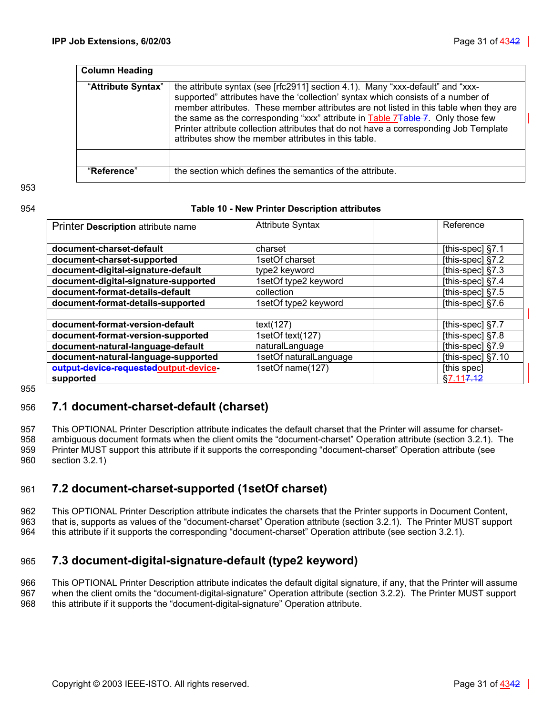| <b>Column Heading</b> |                                                                                                                                                                                                                                                                                                                                                                                                                                                                                                              |
|-----------------------|--------------------------------------------------------------------------------------------------------------------------------------------------------------------------------------------------------------------------------------------------------------------------------------------------------------------------------------------------------------------------------------------------------------------------------------------------------------------------------------------------------------|
| "Attribute Syntax"    | the attribute syntax (see [rfc2911] section 4.1). Many "xxx-default" and "xxx-<br>supported" attributes have the 'collection' syntax which consists of a number of<br>member attributes. These member attributes are not listed in this table when they are<br>the same as the corresponding "xxx" attribute in Table 7 <del>Table 7</del> . Only those few<br>Printer attribute collection attributes that do not have a corresponding Job Template<br>attributes show the member attributes in this table. |
|                       |                                                                                                                                                                                                                                                                                                                                                                                                                                                                                                              |
| "Reference"           | the section which defines the semantics of the attribute.                                                                                                                                                                                                                                                                                                                                                                                                                                                    |

953

### 954 **Table 10 - New Printer Description attributes**

<span id="page-30-3"></span>

| Printer Description attribute name     | <b>Attribute Syntax</b> | Reference             |
|----------------------------------------|-------------------------|-----------------------|
| document-charset-default               | charset                 | [this-spec] $§7.1$    |
| document-charset-supported             | 1setOf charset          | [this-spec] $§7.2$    |
| document-digital-signature-default     | type2 keyword           | [this-spec] §7.3      |
| document-digital-signature-supported   | 1setOf type2 keyword    | [this-spec] §7.4      |
| document-format-details-default        | collection              | [this-spec] $§7.5$    |
| document-format-details-supported      | 1setOf type2 keyword    | [this-spec] $§7.6$    |
|                                        |                         |                       |
| document-format-version-default        | text(127)               | [this-spec] §7.7      |
| document-format-version-supported      | 1setOf text(127)        | [this-spec] $§7.8$    |
| document-natural-language-default      | naturalLanguage         | [this-spec] §7.9      |
| document-natural-language-supported    | 1setOf naturalLanguage  | [this-spec] §7.10     |
| output-device-requested output-device- | 1setOf name(127)        | [this spec]           |
| supported                              |                         | §7.11 <del>7.12</del> |

955

### <span id="page-30-0"></span>956 **7.1 document-charset-default (charset)**

957 This OPTIONAL Printer Description attribute indicates the default charset that the Printer will assume for charset-958 ambiguous document formats when the client omits the "document-charset" Operation attribute (section [3.2.1\)](#page-14-1). The 959 Printer MUST support this attribute if it supports the corresponding "document-charset" Operation attribute (see 960 section [3.2.1\)](#page-14-1)

# <span id="page-30-1"></span>961 **7.2 document-charset-supported (1setOf charset)**

962 This OPTIONAL Printer Description attribute indicates the charsets that the Printer supports in Document Content, 963 that is, supports as values of the "document-charset" Operation attribute (section [3.2.1\)](#page-14-1). The Printer MUST support 964 this attribute if it supports the corresponding "document-charset" Operation attribute (see section [3.2.1\)](#page-14-1).

# <span id="page-30-2"></span>965 **7.3 document-digital-signature-default (type2 keyword)**

966 This OPTIONAL Printer Description attribute indicates the default digital signature, if any, that the Printer will assume 967 when the client omits the "document-digital-signature" Operation attribute (section [3.2.2\)](#page-15-0). The Printer MUST support 968 this attribute if it supports the "document-digital-signature" Operation attribute.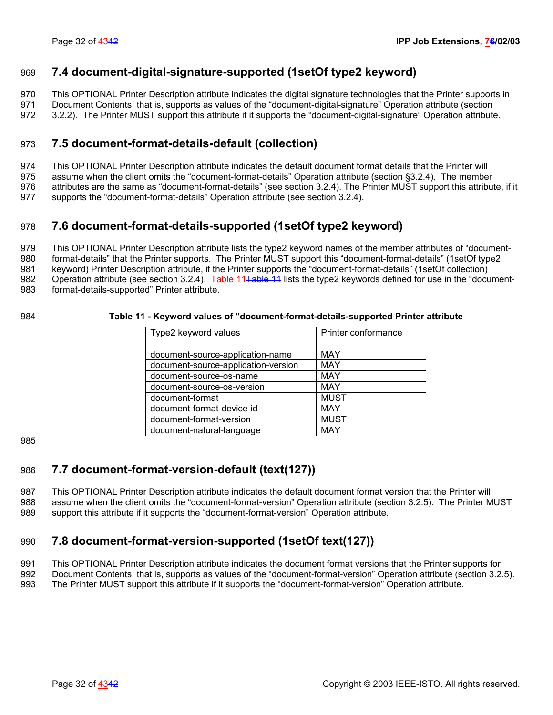# <span id="page-31-0"></span>969 **7.4 document-digital-signature-supported (1setOf type2 keyword)**

970 This OPTIONAL Printer Description attribute indicates the digital signature technologies that the Printer supports in

971 Document Contents, that is, supports as values of the "document-digital-signature" Operation attribute (section

972 [3.2.2\)](#page-15-0). The Printer MUST support this attribute if it supports the "document-digital-signature" Operation attribute.

# <span id="page-31-1"></span>973 **7.5 document-format-details-default (collection)**

974 This OPTIONAL Printer Description attribute indicates the default document format details that the Printer will

975 assume when the client omits the "document-format-details" Operation attribute (section [§3.2.4\)](#page-16-1). The member

976 attributes are the same as "document-format-details" (see section [3.2.4\)](#page-16-1). The Printer MUST support this attribute, if it

977 supports the "document-format-details" Operation attribute (see section [3.2.4\)](#page-16-1).

# <span id="page-31-2"></span>978 **7.6 document-format-details-supported (1setOf type2 keyword)**

979 This OPTIONAL Printer Description attribute lists the type2 keyword names of the member attributes of "document-980 format-details" that the Printer supports. The Printer MUST support this "document-format-details" (1setOf type2 981 keyword) Printer Description attribute, if the Printer supports the "document-format-details" (1setOf collection) 982 | Operation attribute (see section [3.2.4\)](#page-16-1). Table 11<del>Table 11</del> lists the type2 keywords defined for use in the "document-983 format-details-supported" Printer attribute.

### 984 **Table 11 - Keyword values of "document-format-details-supported Printer attribute**

<span id="page-31-5"></span>

| Type2 keyword values                | Printer conformance |
|-------------------------------------|---------------------|
|                                     |                     |
| document-source-application-name    | <b>MAY</b>          |
| document-source-application-version | <b>MAY</b>          |
| document-source-os-name             | <b>MAY</b>          |
| document-source-os-version          | <b>MAY</b>          |
| document-format                     | <b>MUST</b>         |
| document-format-device-id           | MAY                 |
| document-format-version             | <b>MUST</b>         |
| document-natural-language           | MAY                 |

985

# <span id="page-31-3"></span>986 **7.7 document-format-version-default (text(127))**

987 This OPTIONAL Printer Description attribute indicates the default document format version that the Printer will 988 assume when the client omits the "document-format-version" Operation attribute (section [3.2.5\)](#page-19-4). The Printer MUST 989 support this attribute if it supports the "document-format-version" Operation attribute.

# <span id="page-31-4"></span>990 **7.8 document-format-version-supported (1setOf text(127))**

991 This OPTIONAL Printer Description attribute indicates the document format versions that the Printer supports for

992 Document Contents, that is, supports as values of the "document-format-version" Operation attribute (section [3.2.5\)](#page-19-4).

993 The Printer MUST support this attribute if it supports the "document-format-version" Operation attribute.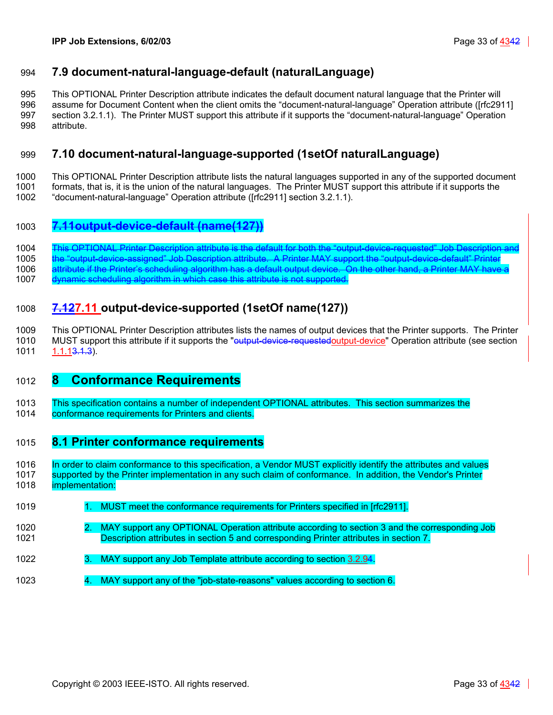# <span id="page-32-0"></span>994 **7.9 document-natural-language-default (naturalLanguage)**

995 This OPTIONAL Printer Description attribute indicates the default document natural language that the Printer will 996 assume for Document Content when the client omits the "document-natural-language" Operation attribute ([rfc2911] 997 section 3.2.1.1). The Printer MUST support this attribute if it supports the "document-natural-language" Operation 998 attribute.

# <span id="page-32-1"></span>999 **7.10 document-natural-language-supported (1setOf naturalLanguage)**

1000 This OPTIONAL Printer Description attribute lists the natural languages supported in any of the supported document 1001 formats, that is, it is the union of the natural languages. The Printer MUST support this attribute if it supports the

1002 "document-natural-language" Operation attribute ([rfc2911] section 3.2.1.1).

## 1003 **7.11output-device-default (name(127))**

1004 This OPTIONAL Printer Description attribute is the default for both the "output-device-requested"

1005 the "output-device-assigned" Job Description attribute. A Printer MAY support the 1006 attribute if the Printer's scheduling algorithm has a default output device. On the other hand, a Printer MAY have a

1007 dynamic scheduling algorithm in which case this attribute is not supported.

# <span id="page-32-2"></span>1008 **7.127.11 output-device-supported (1setOf name(127))**

1009 This OPTIONAL Printer Description attributes lists the names of output devices that the Printer supports. The Printer 1010 MUST support this attribute if it supports the "<del>output-device-requested</del>output-device" Operation attribute (see section 1011 1.1.1<del>3.1.3</del>).

# <span id="page-32-3"></span>1012 **8 Conformance Requirements**

1013 This specification contains a number of independent OPTIONAL attributes. This section summarizes the 1014 conformance requirements for Printers and clients.

### <span id="page-32-4"></span>1015 **8.1 Printer conformance requirements**

1016 In order to claim conformance to this specification, a Vendor MUST explicitly identify the attributes and values 1017 supported by the Printer implementation in any such claim of conformance. In addition, the Vendor's Printer 1018 implementation:

- 1019 1. MUST meet the conformance requirements for Printers specified in [rfc2911].
- 1020 2. MAY support any OPTIONAL Operation attribute according to section [3](#page-9-0) and the corresponding Job 1021 Description attributes in section [5](#page-25-0) and corresponding Printer attributes in section [7.](#page-29-1)
- 1022 3. MAY support any Job Template attribute according to section [3.2.94.](#page-21-1)
- 1023 4. MAY support any of the "job-state-reasons" values according to section [6.](#page-28-2)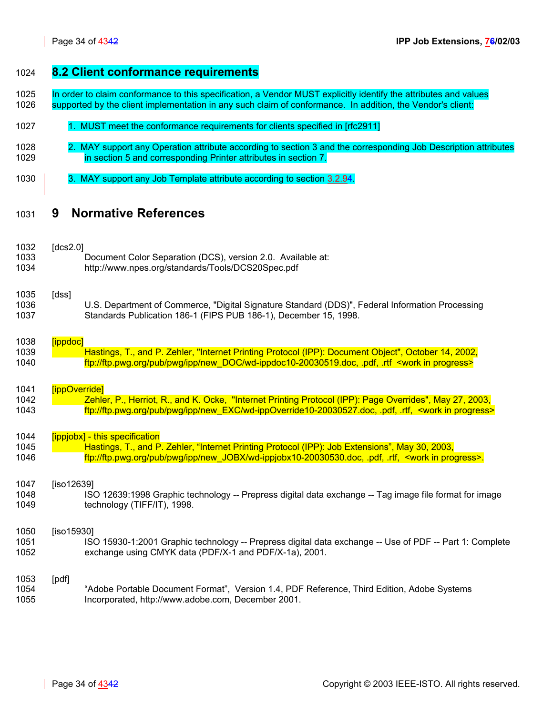<span id="page-33-0"></span>

<span id="page-33-1"></span>

| 1024 | 8.2 Client conformance requirements                                                                              |
|------|------------------------------------------------------------------------------------------------------------------|
| 1025 | In order to claim conformance to this specification, a Vendor MUST explicitly identify the attributes and values |
| 1026 | supported by the client implementation in any such claim of conformance. In addition, the Vendor's client:       |
| 1027 | 1. MUST meet the conformance requirements for clients specified in [rfc2911]                                     |
| 1028 | 2. MAY support any Operation attribute according to section 3 and the corresponding Job Description attributes   |
| 1029 | in section 5 and corresponding Printer attributes in section 7.                                                  |
| 1030 | 3. MAY support any Job Template attribute according to section 3.2.94.                                           |
| 1031 | <b>Normative References</b><br>9                                                                                 |
| 1032 | [dcs2.0]                                                                                                         |
| 1033 | Document Color Separation (DCS), version 2.0. Available at:                                                      |
| 1034 | http://www.npes.org/standards/Tools/DCS20Spec.pdf                                                                |
| 1035 | [dss]                                                                                                            |
| 1036 | U.S. Department of Commerce, "Digital Signature Standard (DDS)", Federal Information Processing                  |
| 1037 | Standards Publication 186-1 (FIPS PUB 186-1), December 15, 1998.                                                 |
| 1038 | [ippdoc]                                                                                                         |
| 1039 | Hastings, T., and P. Zehler, "Internet Printing Protocol (IPP): Document Object", October 14, 2002,              |
| 1040 | ftp://ftp.pwg.org/pub/pwg/ipp/new_DOC/wd-ippdoc10-20030519.doc, .pdf, .rtf <work in="" progress=""></work>       |
| 1041 | [ippOverride]                                                                                                    |
| 1042 | Zehler, P., Herriot, R., and K. Ocke, "Internet Printing Protocol (IPP): Page Overrides", May 27, 2003,          |
| 1043 | ftp://ftp.pwg.org/pub/pwg/ipp/new_EXC/wd-ippOverride10-20030527.doc, .pdf, .rtf, <work in="" progress=""></work> |
| 1044 | [ippjobx] - this specification                                                                                   |
| 1045 | Hastings, T., and P. Zehler, "Internet Printing Protocol (IPP): Job Extensions", May 30, 2003,                   |
| 1046 | ftp://ftp.pwg.org/pub/pwg/ipp/new_JOBX/wd-ippjobx10-20030530.doc, pdf, rtf, <work in="" progress="">.</work>     |
| 1047 | $[iso12639]$                                                                                                     |
| 1048 | ISO 12639:1998 Graphic technology -- Prepress digital data exchange -- Tag image file format for image           |
| 1049 | technology (TIFF/IT), 1998.                                                                                      |
| 1050 | $[iso15930]$                                                                                                     |
| 1051 | ISO 15930-1:2001 Graphic technology -- Prepress digital data exchange -- Use of PDF -- Part 1: Complete          |
| 1052 | exchange using CMYK data (PDF/X-1 and PDF/X-1a), 2001.                                                           |
| 1053 | [pdf]                                                                                                            |

1054 "Adobe Portable Document Format", Version 1.4, PDF Reference, Third Edition, Adobe Systems<br>1055 | Incorporated, http://www.adobe.com, December 2001. 1055 Incorporated, http://www.adobe.com, December 2001.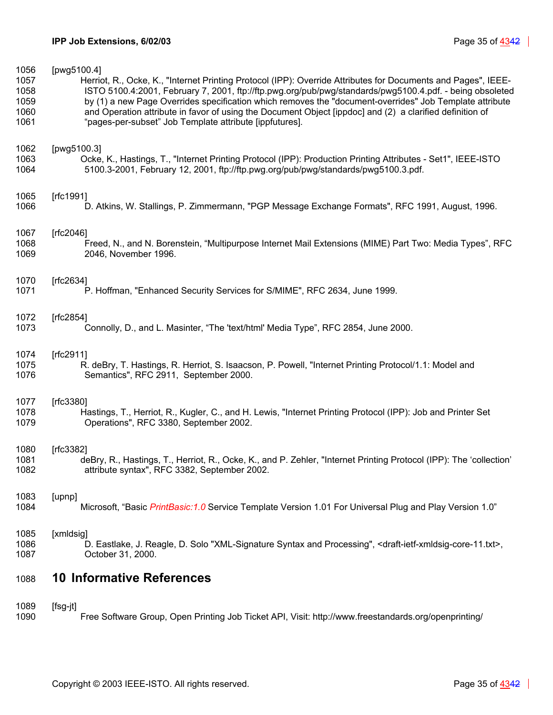| 1056 | [pwg5100.4]                                                                                                                               |
|------|-------------------------------------------------------------------------------------------------------------------------------------------|
| 1057 | Herriot, R., Ocke, K., "Internet Printing Protocol (IPP): Override Attributes for Documents and Pages", IEEE-                             |
| 1058 | ISTO 5100.4:2001, February 7, 2001, ftp://ftp.pwg.org/pub/pwg/standards/pwg5100.4.pdf. - being obsoleted                                  |
| 1059 | by (1) a new Page Overrides specification which removes the "document-overrides" Job Template attribute                                   |
| 1060 | and Operation attribute in favor of using the Document Object [ippdoc] and (2) a clarified definition of                                  |
| 1061 | "pages-per-subset" Job Template attribute [ippfutures].                                                                                   |
| 1062 | [pwg5100.3]                                                                                                                               |
| 1063 | Ocke, K., Hastings, T., "Internet Printing Protocol (IPP): Production Printing Attributes - Set1", IEEE-ISTO                              |
| 1064 | 5100.3-2001, February 12, 2001, ftp://ftp.pwg.org/pub/pwg/standards/pwg5100.3.pdf.                                                        |
| 1065 | [ $rfc1991$ ]                                                                                                                             |
| 1066 | D. Atkins, W. Stallings, P. Zimmermann, "PGP Message Exchange Formats", RFC 1991, August, 1996.                                           |
| 1067 | [rfc2046]                                                                                                                                 |
| 1068 | Freed, N., and N. Borenstein, "Multipurpose Internet Mail Extensions (MIME) Part Two: Media Types", RFC                                   |
| 1069 | 2046, November 1996.                                                                                                                      |
| 1070 | [rfc2634]                                                                                                                                 |
| 1071 | P. Hoffman, "Enhanced Security Services for S/MIME", RFC 2634, June 1999.                                                                 |
| 1072 | [rfc2854]                                                                                                                                 |
| 1073 | Connolly, D., and L. Masinter, "The 'text/html' Media Type", RFC 2854, June 2000.                                                         |
| 1074 | [ $rfc2911$ ]                                                                                                                             |
| 1075 | R. deBry, T. Hastings, R. Herriot, S. Isaacson, P. Powell, "Internet Printing Protocol/1.1: Model and                                     |
| 1076 | Semantics", RFC 2911, September 2000.                                                                                                     |
| 1077 | [rfc3380]                                                                                                                                 |
| 1078 | Hastings, T., Herriot, R., Kugler, C., and H. Lewis, "Internet Printing Protocol (IPP): Job and Printer Set                               |
| 1079 | Operations", RFC 3380, September 2002.                                                                                                    |
| 1080 | [ $rfc3382$ ]                                                                                                                             |
| 1081 | deBry, R., Hastings, T., Herriot, R., Ocke, K., and P. Zehler, "Internet Printing Protocol (IPP): The 'collection'                        |
| 1082 | attribute syntax", RFC 3382, September 2002.                                                                                              |
| 1083 | [upnp]                                                                                                                                    |
| 1084 | Microsoft, "Basic PrintBasic: 1.0 Service Template Version 1.01 For Universal Plug and Play Version 1.0"                                  |
| 1085 | [xmldsig]                                                                                                                                 |
| 1086 | D. Eastlake, J. Reagle, D. Solo "XML-Signature Syntax and Processing", <draft-ietf-xmldsig-core-11.txt>,</draft-ietf-xmldsig-core-11.txt> |
| 1087 | October 31, 2000.                                                                                                                         |
| 1088 | <b>10 Informative References</b>                                                                                                          |
| 1089 | $[fsg-jt]$                                                                                                                                |
| 1090 | Free Software Group, Open Printing Job Ticket API, Visit: http://www.freestandards.org/openprinting/                                      |

<span id="page-34-0"></span>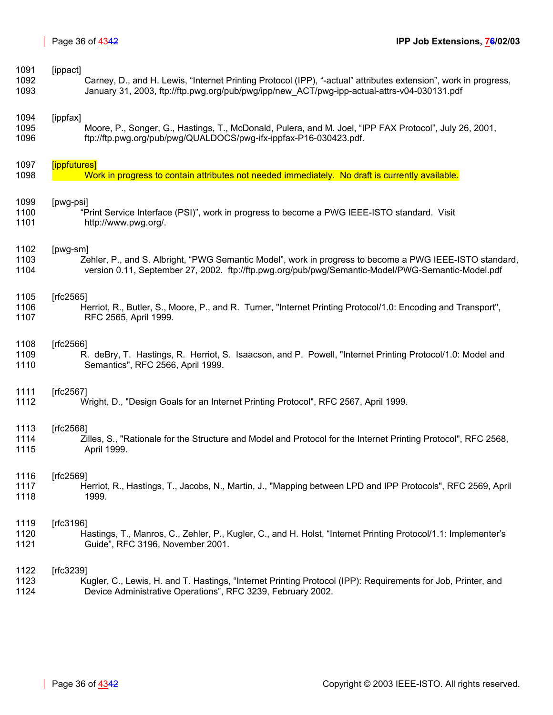| 1091 | [ippact]                                                                                                        |
|------|-----------------------------------------------------------------------------------------------------------------|
| 1092 | Carney, D., and H. Lewis, "Internet Printing Protocol (IPP), "-actual" attributes extension", work in progress, |
| 1093 | January 31, 2003, ftp://ftp.pwg.org/pub/pwg/ipp/new ACT/pwg-ipp-actual-attrs-v04-030131.pdf                     |
| 1094 | [ippfax]                                                                                                        |
| 1095 | Moore, P., Songer, G., Hastings, T., McDonald, Pulera, and M. Joel, "IPP FAX Protocol", July 26, 2001,          |
| 1096 | ftp://ftp.pwg.org/pub/pwg/QUALDOCS/pwg-ifx-ippfax-P16-030423.pdf.                                               |
| 1097 | [ippfutures]                                                                                                    |
| 1098 | Work in progress to contain attributes not needed immediately. No draft is currently available.                 |
| 1099 | [pwg-psi]                                                                                                       |
| 1100 | "Print Service Interface (PSI)", work in progress to become a PWG IEEE-ISTO standard. Visit                     |
| 1101 | http://www.pwg.org/.                                                                                            |
| 1102 | [pwg-sm]                                                                                                        |
| 1103 | Zehler, P., and S. Albright, "PWG Semantic Model", work in progress to become a PWG IEEE-ISTO standard,         |
| 1104 | version 0.11, September 27, 2002. ftp://ftp.pwg.org/pub/pwg/Semantic-Model/PWG-Semantic-Model.pdf               |
| 1105 | [ $fc2565$ ]                                                                                                    |
| 1106 | Herriot, R., Butler, S., Moore, P., and R. Turner, "Internet Printing Protocol/1.0: Encoding and Transport",    |
| 1107 | RFC 2565, April 1999.                                                                                           |
| 1108 | [ $fc2566$ ]                                                                                                    |
| 1109 | R. deBry, T. Hastings, R. Herriot, S. Isaacson, and P. Powell, "Internet Printing Protocol/1.0: Model and       |
| 1110 | Semantics", RFC 2566, April 1999.                                                                               |
| 1111 | [ $fc2567$ ]                                                                                                    |
| 1112 | Wright, D., "Design Goals for an Internet Printing Protocol", RFC 2567, April 1999.                             |
| 1113 | [ $fc2568$ ]                                                                                                    |
| 1114 | Zilles, S., "Rationale for the Structure and Model and Protocol for the Internet Printing Protocol", RFC 2568,  |
| 1115 | April 1999.                                                                                                     |
| 1116 | [ $fc2569$ ]                                                                                                    |
| 1117 | Herriot, R., Hastings, T., Jacobs, N., Martin, J., "Mapping between LPD and IPP Protocols", RFC 2569, April     |
| 1118 | 1999.                                                                                                           |
| 1119 | [ $rfc3196$ ]                                                                                                   |
| 1120 | Hastings, T., Manros, C., Zehler, P., Kugler, C., and H. Holst, "Internet Printing Protocol/1.1: Implementer's  |
| 1121 | Guide", RFC 3196, November 2001.                                                                                |
| 1122 | [ $rfc3239$ ]                                                                                                   |
| 1123 | Kugler, C., Lewis, H. and T. Hastings, "Internet Printing Protocol (IPP): Requirements for Job, Printer, and    |
| 1124 | Device Administrative Operations", RFC 3239, February 2002.                                                     |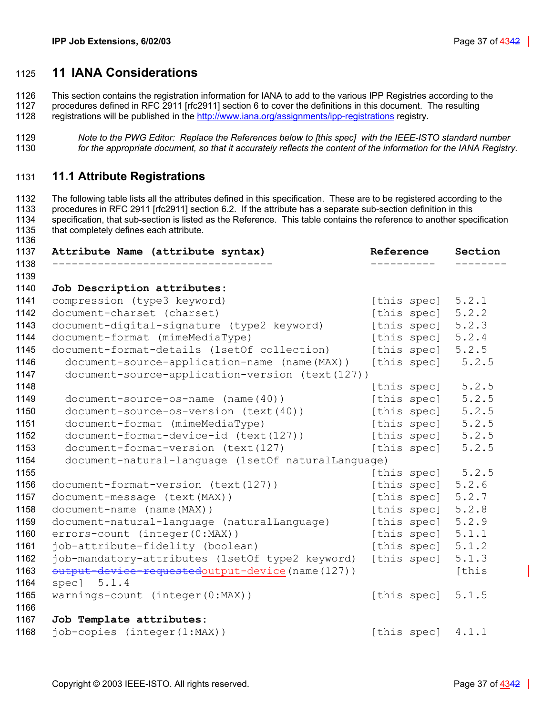# <span id="page-36-0"></span>**11 IANA Considerations**

1126 This section contains the registration information for IANA to add to the various IPP Registries according to the 127 procedures defined in RFC 2911 Irfc2911 section 6 to cover the definitions in this document. The re

procedures defined in RFC 2911 [rfc2911] section 6 to cover the definitions in this document. The resulting

- 1128 registrations will be published in the http://www.iana.org/assignments/ipp-registrations registry.
- *Note to the PWG Editor: Replace the References below to [this spec] with the IEEE-ISTO standard number for the appropriate document, so that it accurately reflects the content of the information for the IANA Registry.*

## <span id="page-36-1"></span>**11.1 Attribute Registrations**

1132 The following table lists all the attributes defined in this specification. These are to be registered according to the 1133 procedures in RFC 2911 [rfc2911] section 6.2. If the attribute has a separate sub-section definition in this 1134 specification, that sub-section is listed as the Reference. This table contains the reference to another specification 1135 that completely defines each attribute.

| Attribute Name (attribute syntax)                  | Reference           | Section |
|----------------------------------------------------|---------------------|---------|
|                                                    |                     |         |
| Job Description attributes:                        |                     |         |
| compression (type3 keyword)                        | [this spec]         | 5.2.1   |
| document-charset (charset)                         | [this spec]         | 5.2.2   |
| document-digital-signature (type2 keyword)         | [this spec]         | 5.2.3   |
| document-format (mimeMediaType)                    | [this spec]         | 5.2.4   |
| document-format-details (1setOf collection)        | [this spec]         | 5.2.5   |
| document-source-application-name (name(MAX))       | [this spec]         | 5.2.5   |
| document-source-application-version (text(127))    |                     |         |
|                                                    | [this spec]         | 5.2.5   |
| $document-source-os-name (name (40))$              | [this spec]         | 5.2.5   |
| document-source-os-version (text(40))              | [this spec]         | 5.2.5   |
| document-format (mimeMediaType)                    | [this spec]         | 5.2.5   |
| document-format-device-id (text(127))              | [this spec]         | 5.2.5   |
| document-format-version (text(127)                 | [this spec]         | 5.2.5   |
| document-natural-language (1setOf naturalLanguage) |                     |         |
|                                                    | [this spec] 5.2.5   |         |
| document-format-version (text(127))                | [this spec]         | 5.2.6   |
| document-message (text (MAX))                      | [this spec]         | 5.2.7   |
| document-name (name (MAX))                         | [this spec]         | 5.2.8   |
| document-natural-language (naturalLanguage)        | [this spec]         | 5.2.9   |
| errors-count (integer(0:MAX))                      | [this spec]         | 5.1.1   |
| job-attribute-fidelity (boolean)                   | [this spec]         | 5.1.2   |
| job-mandatory-attributes (1setOf type2 keyword)    | [this spec]         | 5.1.3   |
| output-device-requestedoutput-device (name (127))  |                     | [this   |
| spec] $5.1.4$                                      |                     |         |
| warnings-count (integer(0:MAX))                    | [this spec] 5.1.5   |         |
|                                                    |                     |         |
| Job Template attributes:                           |                     |         |
| job-copies (integer(1:MAX))                        | [this spec] $4.1.1$ |         |
|                                                    |                     |         |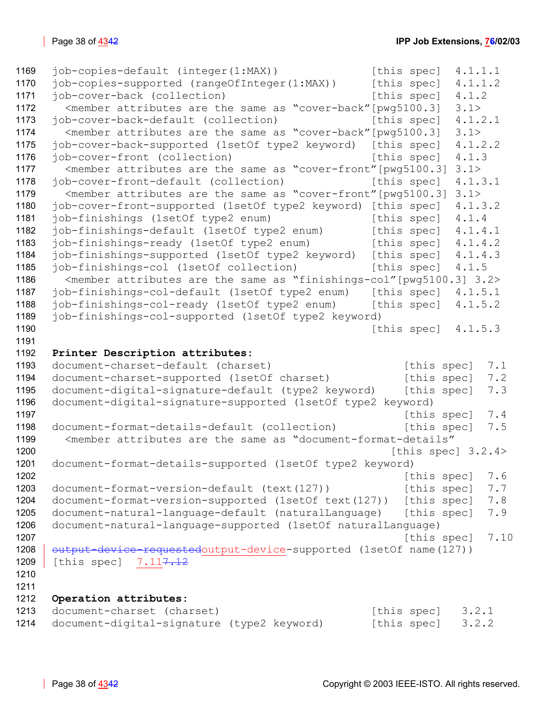```
1169 job-copies-default (integer(1:MAX)) [this spec] 4.1.1.1 
1170 job-copies-supported (rangeOfInteger(1:MAX)) [this spec] 4.1.1.2 
1171 job-cover-back (collection) [this spec] 4.1.2
1172 <member attributes are the same as "cover-back"[pwg5100.3] 3.1> 
1173 job-cover-back-default (collection) [this spec] 4.1.2.1 
1174 <member attributes are the same as "cover-back"[pwg5100.3] 3.1> 
1175 job-cover-back-supported (1setOf type2 keyword) [this spec] 4.1.2.2 
1176 job-cover-front (collection) [this spec] 4.1.3
1177 <member attributes are the same as "cover-front"[pwg5100.3] 3.1> 
1178 job-cover-front-default (collection) [this spec] 4.1.3.1
1179 <member attributes are the same as "cover-front"[pwg5100.3] 3.1> 
1180 job-cover-front-supported (1setOf type2 keyword) [this spec] 4.1.3.2 
1181 job-finishings (1setOf type2 enum) [this spec] 4.1.4
1182 job-finishings-default (1setOf type2 enum) [this spec] 4.1.4.1 
1183 job-finishings-ready (1setOf type2 enum) [this spec] 4.1.4.2 
1184 job-finishings-supported (1setOf type2 keyword) [this spec] 4.1.4.3 
1185 job-finishings-col (1setOf collection) [this spec] 4.1.5
1186 <member attributes are the same as "finishings-col"[pwg5100.3] 3.2> 
1187 job-finishings-col-default (1setOf type2 enum) [this spec] 4.1.5.1 
1188 job-finishings-col-ready (1setOf type2 enum) [this spec] 4.1.5.2 
1189 job-finishings-col-supported (1setOf type2 keyword) 
1190 [this spec] 4.1.5.31191 
1192 Printer Description attributes: 
1193 document-charset-default (charset) [this spec] 7.1
1194 document-charset-supported (1setOf charset) [this spec] 7.2
1195 document-digital-signature-default (type2 keyword) [this spec] 7.3
1196 document-digital-signature-supported (1setOf type2 keyword) 
1197 In the species of the species of the species of the species of the species of the species of the species 7.41198 document-format-details-default (collection) [this spec] 7.5
1199 <member attributes are the same as "document-format-details" 
 3.2.4>
1201 document-format-details-supported (1setOf type2 keyword) 
1202 f this spec 3.6 f \sim7.6 f \sim 6
1203 document-format-version-default (text(127)) [this spec] 7.7
1204 document-format-version-supported (1setOf text(127)) [this spec] 7.8 
1205 document-natural-language-default (naturalLanguage) [this spec] 7.9 
1206 document-natural-language-supported (1setOf naturalLanguage) 
1207 In this species of the species of the species of the species of the species of the species of the species of the species of the species of the species of the species of the species of the species of the species of th
1208 | output-device-requestedoutput-device-supported (1setOf name(127))
1209 [this spec] 7.11<del>7.12</del>
1210 
1211 
1212 Operation attributes: 
1213 document-charset (charset) [this spec] 3.2.1
1214 document-digital-signature (type2 keyword) [this spec] 3.2.2
```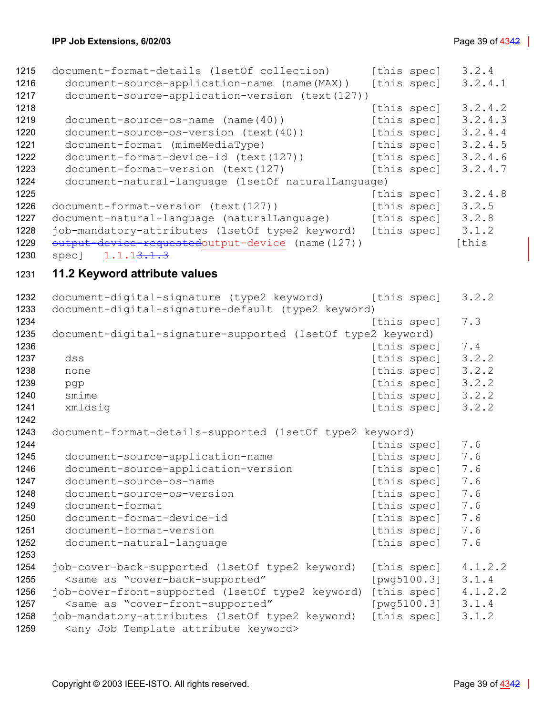<span id="page-38-0"></span>

| 1215 | document-format-details (1setOf collection)                                             | [this spec] | 3.2.4   |
|------|-----------------------------------------------------------------------------------------|-------------|---------|
| 1216 | document-source-application-name (name(MAX))                                            | [this spec] | 3.2.4.1 |
| 1217 | document-source-application-version (text(127))                                         |             |         |
| 1218 |                                                                                         | [this spec] | 3.2.4.2 |
| 1219 | document-source-os-name (name(40))                                                      | [this spec] | 3.2.4.3 |
| 1220 | document-source-os-version (text(40))                                                   | [this spec] | 3.2.4.4 |
| 1221 | document-format (mimeMediaType)                                                         | [this spec] | 3.2.4.5 |
| 1222 | document-format-device-id (text(127))                                                   | [this spec] | 3.2.4.6 |
| 1223 | document-format-version (text(127)                                                      | [this spec] | 3.2.4.7 |
| 1224 | document-natural-language (1setOf naturalLanguage)                                      |             |         |
| 1225 |                                                                                         | [this spec] | 3.2.4.8 |
| 1226 | document-format-version (text(127))                                                     | [this spec] | 3.2.5   |
| 1227 | document-natural-language (naturalLanguage)                                             | [this spec] | 3.2.8   |
| 1228 | job-mandatory-attributes (1setOf type2 keyword)                                         | [this spec] | 3.1.2   |
| 1229 | output-device-requestedoutput-device (name(127))                                        |             | [this   |
| 1230 | spec] 1.1.1 <del>3.1.3</del>                                                            |             |         |
|      |                                                                                         |             |         |
| 1231 | 11.2 Keyword attribute values                                                           |             |         |
| 1232 | document-digital-signature (type2 keyword)                                              | [this spec] | 3.2.2   |
| 1233 | document-digital-signature-default (type2 keyword)                                      |             |         |
| 1234 |                                                                                         | [this spec] | 7.3     |
| 1235 | document-digital-signature-supported (1setOf type2 keyword)                             |             |         |
| 1236 |                                                                                         | [this spec] | 7.4     |
| 1237 | dss                                                                                     | [this spec] | 3.2.2   |
| 1238 | none                                                                                    | [this spec] | 3.2.2   |
| 1239 | pgp                                                                                     | [this spec] | 3.2.2   |
| 1240 | smime                                                                                   | [this spec] | 3.2.2   |
| 1241 | xmldsig                                                                                 | [this spec] | 3.2.2   |
| 1242 |                                                                                         |             |         |
| 1243 | document-format-details-supported (1setOf type2 keyword)                                |             |         |
| 1244 |                                                                                         | [this spec] | 7.6     |
| 1245 | document-source-application-name                                                        | [this spec] | 7.6     |
| 1246 | document-source-application-version                                                     | [this spec] | 7.6     |
| 1247 | document-source-os-name                                                                 | [this spec] | 7.6     |
| 1248 | document-source-os-version                                                              | [this spec] | 7.6     |
| 1249 | document-format                                                                         | [this spec] | 7.6     |
| 1250 | document-format-device-id                                                               | [this spec] | 7.6     |
| 1251 | document-format-version                                                                 | [this spec] | 7.6     |
| 1252 | document-natural-language                                                               | [this spec] | 7.6     |
| 1253 |                                                                                         |             |         |
| 1254 | job-cover-back-supported (1setOf type2 keyword)                                         | [this spec] | 4.1.2.2 |
| 1255 | <same "cover-back-supported"<="" as="" td=""><td>[pwg5100.3]</td><td>3.1.4</td></same>  | [pwg5100.3] | 3.1.4   |
| 1256 | job-cover-front-supported (1setOf type2 keyword)                                        | [this spec] | 4.1.2.2 |
| 1257 | <same "cover-front-supported"<="" as="" td=""><td>[pwg5100.3]</td><td>3.1.4</td></same> | [pwg5100.3] | 3.1.4   |
| 1258 | job-mandatory-attributes (1setOf type2 keyword)                                         | [this spec] | 3.1.2   |
| 1259 | <any attribute="" job="" keyword="" template=""></any>                                  |             |         |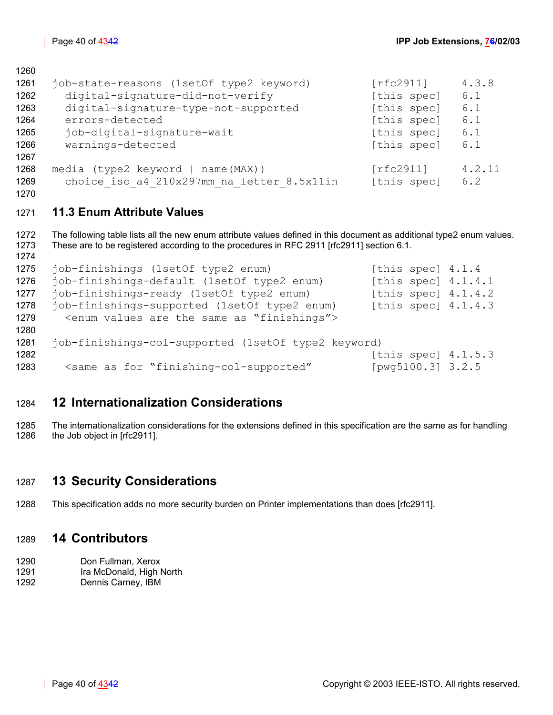| 1261 | job-state-reasons (1setOf type2 keyword)   | [rfc2911]   | 4.3.8  |
|------|--------------------------------------------|-------------|--------|
| 1262 | digital-signature-did-not-verify           | [this spec] | 6.1    |
| 1263 | digital-signature-type-not-supported       | [this spec] | 6.1    |
| 1264 | errors-detected                            | [this spec] | 6.1    |
| 1265 | job-digital-signature-wait                 | [this spec] | 6.1    |
| 1266 | warnings-detected                          | [this spec] | 6.1    |
| 1267 |                                            |             |        |
| 1268 | media (type2 keyword   name(MAX))          | frc2911     | 4.2.11 |
| 1269 | choice iso a4 210x297mm na letter 8.5x11in | [this spec] | 6.2    |
| 1270 |                                            |             |        |

# <span id="page-39-0"></span>**11.3 Enum Attribute Values**

```
1272 The following table lists all the new enum attribute values defined in this document as additional type2 enum values. 
1273 These are to be registered according to the procedures in RFC 2911 [rfc2911] section 6.1. 
1274 
1275 job-finishings (1setOf type2 enum) [this spec] 4.1.4 
1276 job-finishings-default (1setOf type2 enum) [this spec] 4.1.4.1 
1277 job-finishings-ready (1setOf type2 enum) [this spec] 4.1.4.2 
1278 job-finishings-supported (1setOf type2 enum) [this spec] 4.1.4.3 
1279 <enum values are the same as "finishings"> 
1280 
1281 job-finishings-col-supported (1setOf type2 keyword) 
1282 [this spec] 4.1.5.3 
1283 <same as for "finishing-col-supported" [pwg5100.3] 3.2.5
```
# <span id="page-39-1"></span>**12 Internationalization Considerations**

1285 The internationalization considerations for the extensions defined in this specification are the same as for handling 1286 the Job object in [rfc2911].

# <span id="page-39-2"></span>**13 Security Considerations**

1288 This specification adds no more security burden on Printer implementations than does [rfc2911].

# <span id="page-39-3"></span>**14 Contributors**

- 1290 Don Fullman, Xerox
- 1291 Ira McDonald, High North
- 1292 Dennis Carney, IBM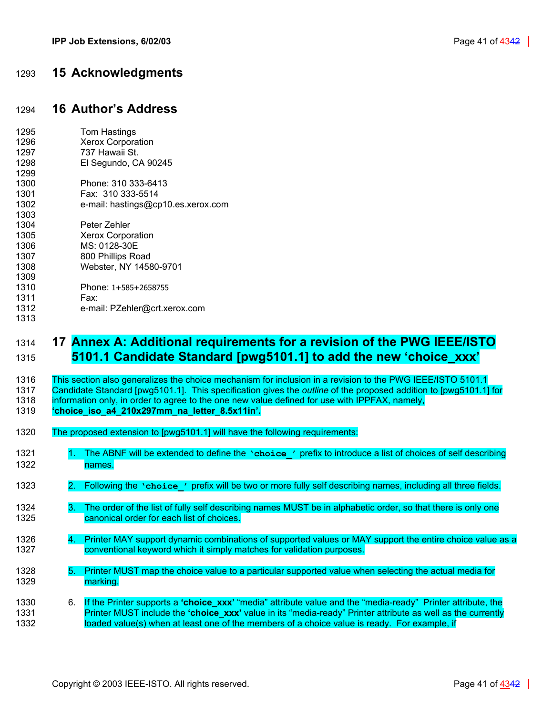# <span id="page-40-0"></span>1293 **15 Acknowledgments**

# <span id="page-40-1"></span>1294 **16 Author's Address**

| 1295 | Tom Hastings                       |
|------|------------------------------------|
| 1296 | Xerox Corporation                  |
| 1297 | 737 Hawaii St.                     |
| 1298 | El Segundo, CA 90245               |
| 1299 |                                    |
| 1300 | Phone: 310 333-6413                |
| 1301 | Fax: 310 333-5514                  |
| 1302 | e-mail: hastings@cp10.es.xerox.com |
| 1303 |                                    |
| 1304 | Peter Zehler                       |
| 1305 | <b>Xerox Corporation</b>           |
| 1306 | MS: 0128-30E                       |
| 1307 | 800 Phillips Road                  |
| 1308 | Webster, NY 14580-9701             |
| 1309 |                                    |
| 1310 | Phone: 1+585+2658755               |
| 1311 | Fax:                               |
| 1312 | e-mail: PZehler@crt.xerox.com      |
| 1313 |                                    |
|      |                                    |

# <span id="page-40-2"></span>1314 **17 Annex A: Additional requirements for a revision of the PWG IEEE/ISTO**  1315 **5101.1 Candidate Standard [pwg5101.1] to add the new 'choice\_xxx'**

1316 This section also generalizes the choice mechanism for inclusion in a revision to the PWG IEEE/ISTO 5101.1 1317 Candidate Standard [pwg5101.1]. This specification gives the *outline* of the proposed addition to [pwg5101.1] for 1318 information only, in order to agree to the one new value defined for use with IPPFAX, namely,

- 1319 **'choice\_iso\_a4\_210x297mm\_na\_letter\_8.5x11in'.**
- 1320 The proposed extension to [pwg5101.1] will have the following requirements:
- 1321 1. The ABNF will be extended to define the **'choice'** prefix to introduce a list of choices of self describing 1322 names.
- 1323 2. Following the **'choice\_'** prefix will be two or more fully self describing names, including all three fields.
- 1324 3. The order of the list of fully self describing names MUST be in alphabetic order, so that there is only one 1325 canonical order for each list of choices.
- 1326 4. Printer MAY support dynamic combinations of supported values or MAY support the entire choice value as a 1327 conventional keyword which it simply matches for validation purposes.
- 1328 5. Printer MUST map the choice value to a particular supported value when selecting the actual media for 1329 marking.
- 1330 6. If the Printer supports a **'choice\_xxx'** "media" attribute value and the "media-ready" Printer attribute, the 1331 Printer MUST include the **'choice\_xxx'** value in its "media-ready" Printer attribute as well as the currently 1332 loaded value(s) when at least one of the members of a choice value is ready. For example, if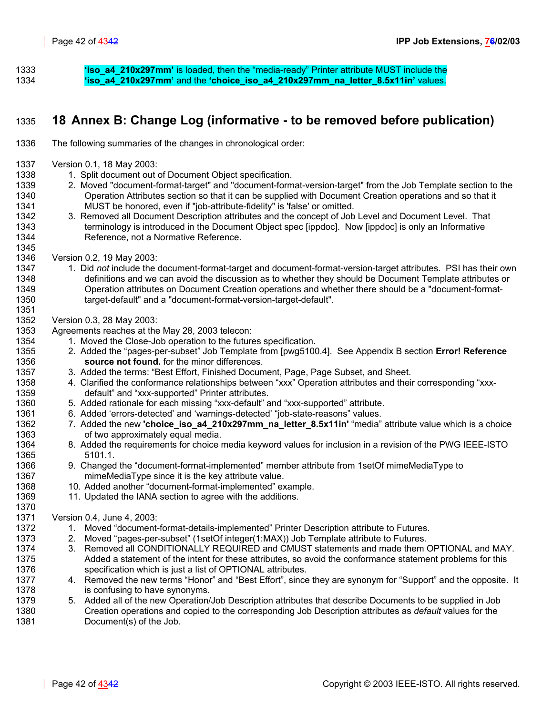1333 **'iso\_a4\_210x297mm'** is loaded, then the "media-ready" Printer attribute MUST include the 1334 **'iso\_a4\_210x297mm'** and the **'choice\_iso\_a4\_210x297mm\_na\_letter\_8.5x11in'** values.

# <span id="page-41-0"></span>1335 **18 Annex B: Change Log (informative - to be removed before publication)**

- 1336 The following summaries of the changes in chronological order:
- 1337 Version 0.1, 18 May 2003:
- 1338 1. Split document out of Document Object specification.
- 1339 2. Moved "document-format-target" and "document-format-version-target" from the Job Template section to the 1340 Operation Attributes section so that it can be supplied with Document Creation operations and so that it 1341 MUST be honored, even if "job-attribute-fidelity" is 'false' or omitted.
- 1342 3. Removed all Document Description attributes and the concept of Job Level and Document Level. That 1343 terminology is introduced in the Document Object spec [ippdoc]. Now [ippdoc] is only an Informative 1344 Reference, not a Normative Reference.
- 1346 Version 0.2, 19 May 2003:

1345

1351

1370

- 1347 1. Did *not* include the document-format-target and document-format-version-target attributes. PSI has their own 1348 definitions and we can avoid the discussion as to whether they should be Document Template attributes or 1349 Operation attributes on Document Creation operations and whether there should be a "document-format-1350 target-default" and a "document-format-version-target-default".
- 1352 Version 0.3, 28 May 2003:
- 1353 Agreements reaches at the May 28, 2003 telecon:
- 1354 1. Moved the Close-Job operation to the futures specification.
- 1355 2. Added the "pages-per-subset" Job Template from [pwg5100.4]. See Appendix B section **[Error! Reference](#page-7-3)**  1356 **[source not found.](#page-7-3)** for the minor differences.
- 1357 3. Added the terms: "Best Effort, Finished Document, Page, Page Subset, and Sheet.
- 1358 4. Clarified the conformance relationships between "xxx" Operation attributes and their corresponding "xxx-1359 default" and "xxx-supported" Printer attributes.
- 1360 5. Added rationale for each missing "xxx-default" and "xxx-supported" attribute.
- 1361 6. Added 'errors-detected' and 'warnings-detected' "job-state-reasons" values.
- 1362 7. Added the new **'choice iso a4 210x297mm na letter 8.5x11in'** "media" attribute value which is a choice 1363 of two approximately equal media.
- 1364 8. Added the requirements for choice media keyword values for inclusion in a revision of the PWG IEEE-ISTO 1365 5101.1.
- 1366 9. Changed the "document-format-implemented" member attribute from 1setOf mimeMediaType to 1367 mimeMediaType since it is the key attribute value.
- 1368 10. Added another "document-format-implemented" example.
- 1369 11. Updated the IANA section to agree with the additions.

1371 Version 0.4, June 4, 2003:

- 1372 1. Moved "document-format-details-implemented" Printer Description attribute to Futures.
- 1373 2. Moved "pages-per-subset" (1setOf integer(1:MAX)) Job Template attribute to Futures.
- 1374 3. Removed all CONDITIONALLY REQUIRED and CMUST statements and made them OPTIONAL and MAY. 1375 Added a statement of the intent for these attributes, so avoid the conformance statement problems for this 1376 specification which is just a list of OPTIONAL attributes.
- 1377 4. Removed the new terms "Honor" and "Best Effort", since they are synonym for "Support" and the opposite. It 1378 is confusing to have synonyms.
- 1379 5. Added all of the new Operation/Job Description attributes that describe Documents to be supplied in Job 1380 Creation operations and copied to the corresponding Job Description attributes as *default* values for the 1381 Document(s) of the Job.